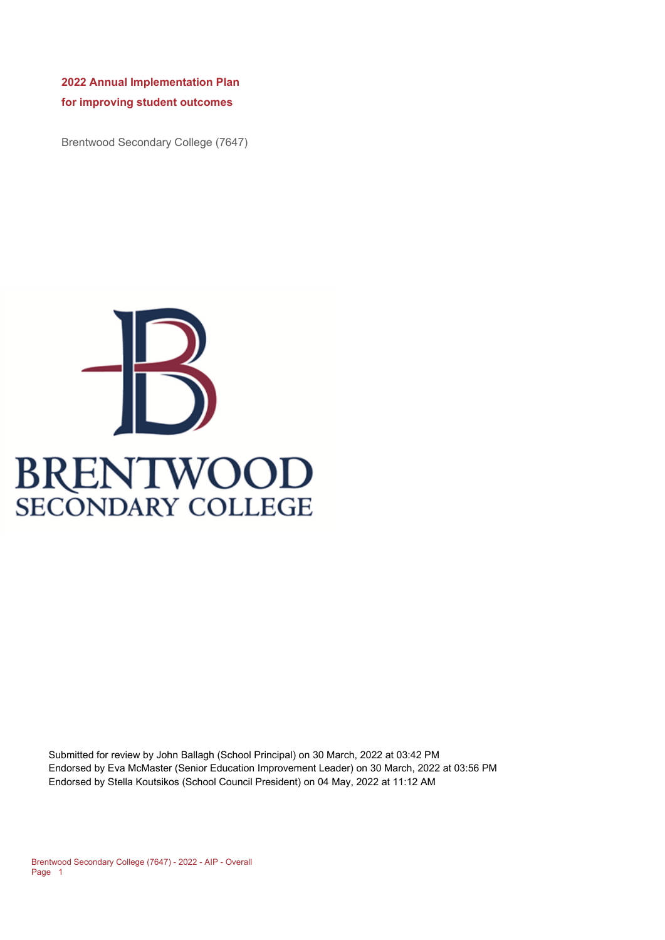**2022 Annual Implementation Plan for improving student outcomes** 

Brentwood Secondary College (7647)



Submitted for review by John Ballagh (School Principal) on 30 March, 2022 at 03:42 PM Endorsed by Eva McMaster (Senior Education Improvement Leader) on 30 March, 2022 at 03:56 PM Endorsed by Stella Koutsikos (School Council President) on 04 May, 2022 at 11:12 AM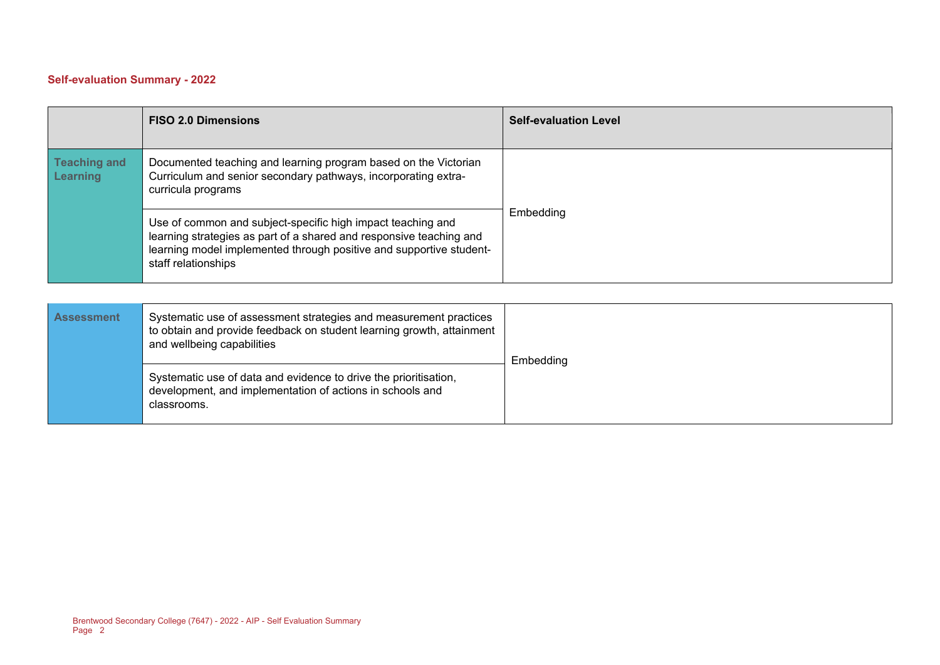### **Self-evaluation Summary - 2022**

|                                        | <b>FISO 2.0 Dimensions</b>                                                                                                                                                                                                       | <b>Self-evaluation Level</b> |
|----------------------------------------|----------------------------------------------------------------------------------------------------------------------------------------------------------------------------------------------------------------------------------|------------------------------|
| <b>Teaching and</b><br><b>Learning</b> | Documented teaching and learning program based on the Victorian<br>Curriculum and senior secondary pathways, incorporating extra-<br>curricula programs                                                                          |                              |
|                                        | Use of common and subject-specific high impact teaching and<br>learning strategies as part of a shared and responsive teaching and<br>learning model implemented through positive and supportive student-<br>staff relationships | Embedding                    |

| <b>Assessment</b> | Systematic use of assessment strategies and measurement practices<br>to obtain and provide feedback on student learning growth, attainment<br>and wellbeing capabilities | Embedding |
|-------------------|--------------------------------------------------------------------------------------------------------------------------------------------------------------------------|-----------|
|                   | Systematic use of data and evidence to drive the prioritisation,<br>development, and implementation of actions in schools and<br>classrooms.                             |           |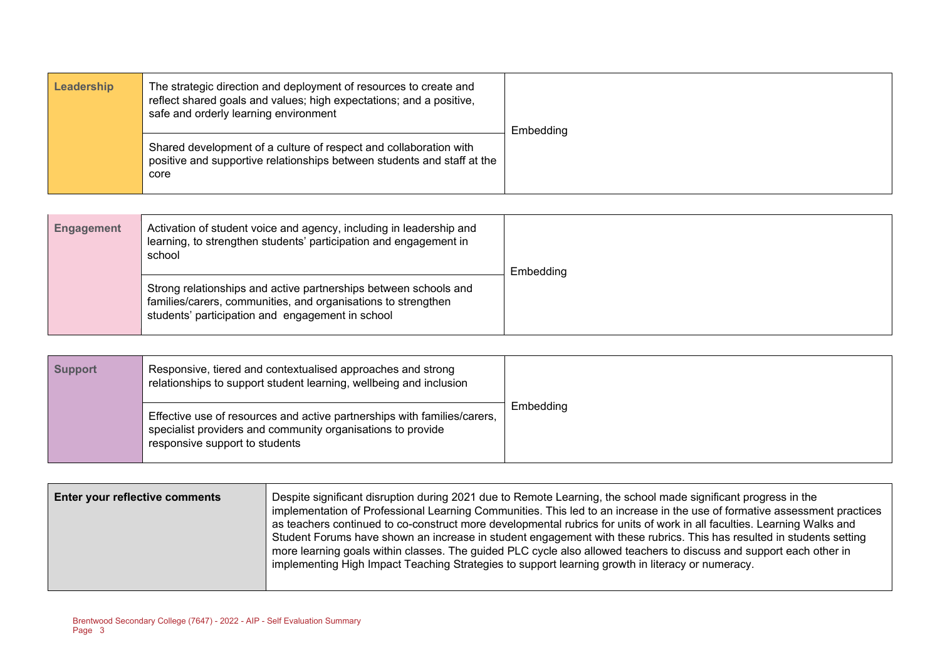| Leadership | The strategic direction and deployment of resources to create and<br>reflect shared goals and values; high expectations; and a positive,<br>safe and orderly learning environment | Embedding |
|------------|-----------------------------------------------------------------------------------------------------------------------------------------------------------------------------------|-----------|
|            | Shared development of a culture of respect and collaboration with<br>positive and supportive relationships between students and staff at the<br>core                              |           |

| <b>Engagement</b> | Activation of student voice and agency, including in leadership and<br>learning, to strengthen students' participation and engagement in<br>school                                    | Embedding |
|-------------------|---------------------------------------------------------------------------------------------------------------------------------------------------------------------------------------|-----------|
|                   | Strong relationships and active partnerships between schools and<br>families/carers, communities, and organisations to strengthen<br>students' participation and engagement in school |           |

| <b>Support</b> | Responsive, tiered and contextualised approaches and strong<br>relationships to support student learning, wellbeing and inclusion                                         |           |
|----------------|---------------------------------------------------------------------------------------------------------------------------------------------------------------------------|-----------|
|                | Effective use of resources and active partnerships with families/carers,<br>specialist providers and community organisations to provide<br>responsive support to students | Embedding |

| <b>Enter your reflective comments</b> | Despite significant disruption during 2021 due to Remote Learning, the school made significant progress in the<br>implementation of Professional Learning Communities. This led to an increase in the use of formative assessment practices<br>as teachers continued to co-construct more developmental rubrics for units of work in all faculties. Learning Walks and<br>Student Forums have shown an increase in student engagement with these rubrics. This has resulted in students setting<br>more learning goals within classes. The guided PLC cycle also allowed teachers to discuss and support each other in<br>implementing High Impact Teaching Strategies to support learning growth in literacy or numeracy. |
|---------------------------------------|----------------------------------------------------------------------------------------------------------------------------------------------------------------------------------------------------------------------------------------------------------------------------------------------------------------------------------------------------------------------------------------------------------------------------------------------------------------------------------------------------------------------------------------------------------------------------------------------------------------------------------------------------------------------------------------------------------------------------|
|                                       |                                                                                                                                                                                                                                                                                                                                                                                                                                                                                                                                                                                                                                                                                                                            |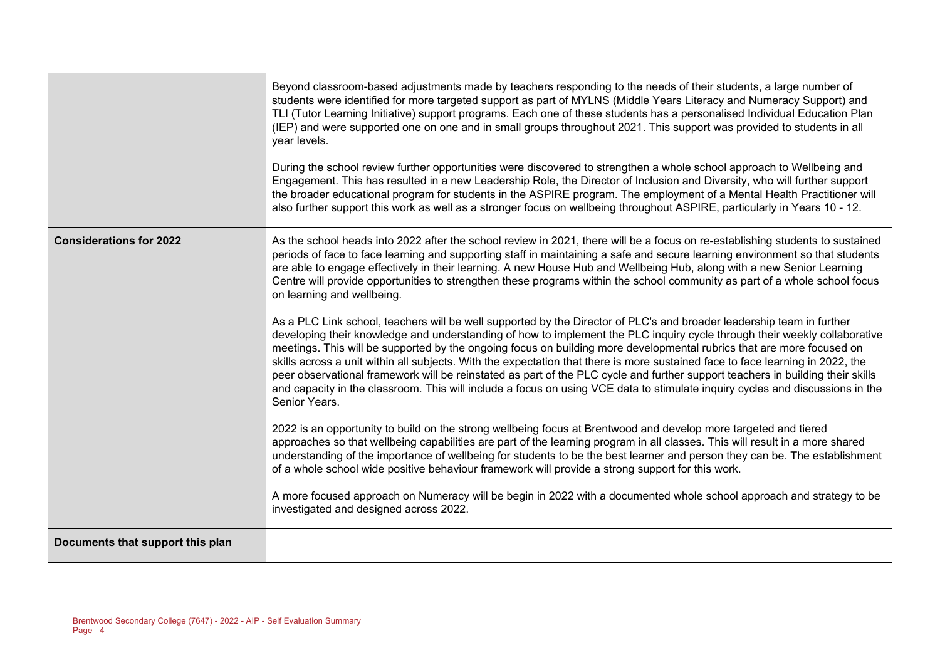|                                  | Beyond classroom-based adjustments made by teachers responding to the needs of their students, a large number of<br>students were identified for more targeted support as part of MYLNS (Middle Years Literacy and Numeracy Support) and<br>TLI (Tutor Learning Initiative) support programs. Each one of these students has a personalised Individual Education Plan<br>(IEP) and were supported one on one and in small groups throughout 2021. This support was provided to students in all<br>year levels.<br>During the school review further opportunities were discovered to strengthen a whole school approach to Wellbeing and<br>Engagement. This has resulted in a new Leadership Role, the Director of Inclusion and Diversity, who will further support<br>the broader educational program for students in the ASPIRE program. The employment of a Mental Health Practitioner will<br>also further support this work as well as a stronger focus on wellbeing throughout ASPIRE, particularly in Years 10 - 12.                                                                                                                                                                                                                                                                                                                            |
|----------------------------------|---------------------------------------------------------------------------------------------------------------------------------------------------------------------------------------------------------------------------------------------------------------------------------------------------------------------------------------------------------------------------------------------------------------------------------------------------------------------------------------------------------------------------------------------------------------------------------------------------------------------------------------------------------------------------------------------------------------------------------------------------------------------------------------------------------------------------------------------------------------------------------------------------------------------------------------------------------------------------------------------------------------------------------------------------------------------------------------------------------------------------------------------------------------------------------------------------------------------------------------------------------------------------------------------------------------------------------------------------------|
| <b>Considerations for 2022</b>   | As the school heads into 2022 after the school review in 2021, there will be a focus on re-establishing students to sustained<br>periods of face to face learning and supporting staff in maintaining a safe and secure learning environment so that students<br>are able to engage effectively in their learning. A new House Hub and Wellbeing Hub, along with a new Senior Learning<br>Centre will provide opportunities to strengthen these programs within the school community as part of a whole school focus<br>on learning and wellbeing.<br>As a PLC Link school, teachers will be well supported by the Director of PLC's and broader leadership team in further<br>developing their knowledge and understanding of how to implement the PLC inquiry cycle through their weekly collaborative<br>meetings. This will be supported by the ongoing focus on building more developmental rubrics that are more focused on<br>skills across a unit within all subjects. With the expectation that there is more sustained face to face learning in 2022, the<br>peer observational framework will be reinstated as part of the PLC cycle and further support teachers in building their skills<br>and capacity in the classroom. This will include a focus on using VCE data to stimulate inquiry cycles and discussions in the<br>Senior Years. |
|                                  | 2022 is an opportunity to build on the strong wellbeing focus at Brentwood and develop more targeted and tiered<br>approaches so that wellbeing capabilities are part of the learning program in all classes. This will result in a more shared<br>understanding of the importance of wellbeing for students to be the best learner and person they can be. The establishment<br>of a whole school wide positive behaviour framework will provide a strong support for this work.<br>A more focused approach on Numeracy will be begin in 2022 with a documented whole school approach and strategy to be<br>investigated and designed across 2022.                                                                                                                                                                                                                                                                                                                                                                                                                                                                                                                                                                                                                                                                                                     |
| Documents that support this plan |                                                                                                                                                                                                                                                                                                                                                                                                                                                                                                                                                                                                                                                                                                                                                                                                                                                                                                                                                                                                                                                                                                                                                                                                                                                                                                                                                         |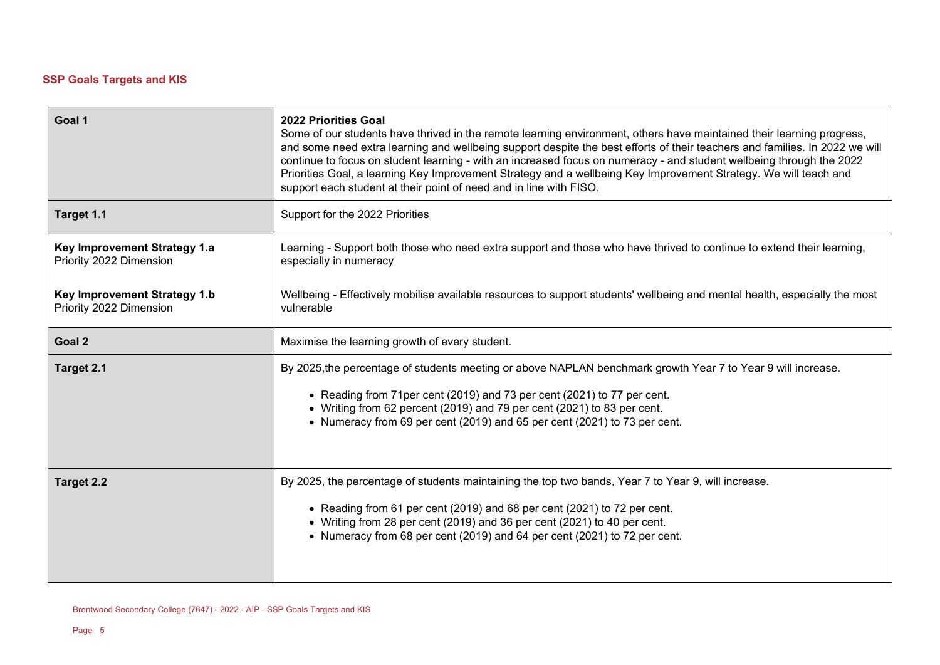# **SSP Goals Targets and KIS**

| Goal 1                                                  | <b>2022 Priorities Goal</b><br>Some of our students have thrived in the remote learning environment, others have maintained their learning progress,<br>and some need extra learning and wellbeing support despite the best efforts of their teachers and families. In 2022 we will<br>continue to focus on student learning - with an increased focus on numeracy - and student wellbeing through the 2022<br>Priorities Goal, a learning Key Improvement Strategy and a wellbeing Key Improvement Strategy. We will teach and<br>support each student at their point of need and in line with FISO. |
|---------------------------------------------------------|-------------------------------------------------------------------------------------------------------------------------------------------------------------------------------------------------------------------------------------------------------------------------------------------------------------------------------------------------------------------------------------------------------------------------------------------------------------------------------------------------------------------------------------------------------------------------------------------------------|
| Target 1.1                                              | Support for the 2022 Priorities                                                                                                                                                                                                                                                                                                                                                                                                                                                                                                                                                                       |
| Key Improvement Strategy 1.a<br>Priority 2022 Dimension | Learning - Support both those who need extra support and those who have thrived to continue to extend their learning,<br>especially in numeracy                                                                                                                                                                                                                                                                                                                                                                                                                                                       |
| Key Improvement Strategy 1.b<br>Priority 2022 Dimension | Wellbeing - Effectively mobilise available resources to support students' wellbeing and mental health, especially the most<br>vulnerable                                                                                                                                                                                                                                                                                                                                                                                                                                                              |
| Goal 2                                                  | Maximise the learning growth of every student.                                                                                                                                                                                                                                                                                                                                                                                                                                                                                                                                                        |
| Target 2.1                                              | By 2025, the percentage of students meeting or above NAPLAN benchmark growth Year 7 to Year 9 will increase.<br>• Reading from 71 per cent (2019) and 73 per cent (2021) to 77 per cent.<br>• Writing from 62 percent (2019) and 79 per cent (2021) to 83 per cent.<br>• Numeracy from 69 per cent (2019) and 65 per cent (2021) to 73 per cent.                                                                                                                                                                                                                                                      |
| Target 2.2                                              | By 2025, the percentage of students maintaining the top two bands, Year 7 to Year 9, will increase.<br>• Reading from 61 per cent (2019) and 68 per cent (2021) to 72 per cent.<br>• Writing from 28 per cent (2019) and 36 per cent (2021) to 40 per cent.<br>• Numeracy from 68 per cent (2019) and 64 per cent (2021) to 72 per cent.                                                                                                                                                                                                                                                              |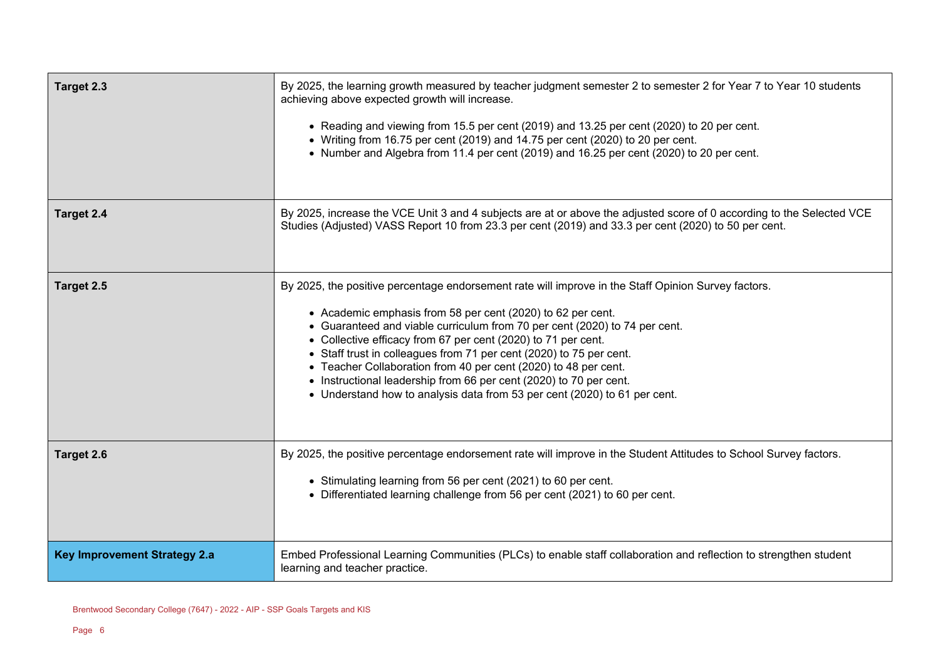| Target 2.3                          | By 2025, the learning growth measured by teacher judgment semester 2 to semester 2 for Year 7 to Year 10 students<br>achieving above expected growth will increase.<br>• Reading and viewing from 15.5 per cent (2019) and 13.25 per cent (2020) to 20 per cent.<br>• Writing from 16.75 per cent (2019) and 14.75 per cent (2020) to 20 per cent.<br>• Number and Algebra from 11.4 per cent (2019) and 16.25 per cent (2020) to 20 per cent.                                                                                                                                                                 |
|-------------------------------------|----------------------------------------------------------------------------------------------------------------------------------------------------------------------------------------------------------------------------------------------------------------------------------------------------------------------------------------------------------------------------------------------------------------------------------------------------------------------------------------------------------------------------------------------------------------------------------------------------------------|
| Target 2.4                          | By 2025, increase the VCE Unit 3 and 4 subjects are at or above the adjusted score of 0 according to the Selected VCE<br>Studies (Adjusted) VASS Report 10 from 23.3 per cent (2019) and 33.3 per cent (2020) to 50 per cent.                                                                                                                                                                                                                                                                                                                                                                                  |
| Target 2.5                          | By 2025, the positive percentage endorsement rate will improve in the Staff Opinion Survey factors.<br>• Academic emphasis from 58 per cent (2020) to 62 per cent.<br>• Guaranteed and viable curriculum from 70 per cent (2020) to 74 per cent.<br>• Collective efficacy from 67 per cent (2020) to 71 per cent.<br>• Staff trust in colleagues from 71 per cent (2020) to 75 per cent.<br>• Teacher Collaboration from 40 per cent (2020) to 48 per cent.<br>• Instructional leadership from 66 per cent (2020) to 70 per cent.<br>• Understand how to analysis data from 53 per cent (2020) to 61 per cent. |
| Target 2.6                          | By 2025, the positive percentage endorsement rate will improve in the Student Attitudes to School Survey factors.<br>• Stimulating learning from 56 per cent (2021) to 60 per cent.<br>• Differentiated learning challenge from 56 per cent (2021) to 60 per cent.                                                                                                                                                                                                                                                                                                                                             |
| <b>Key Improvement Strategy 2.a</b> | Embed Professional Learning Communities (PLCs) to enable staff collaboration and reflection to strengthen student<br>learning and teacher practice.                                                                                                                                                                                                                                                                                                                                                                                                                                                            |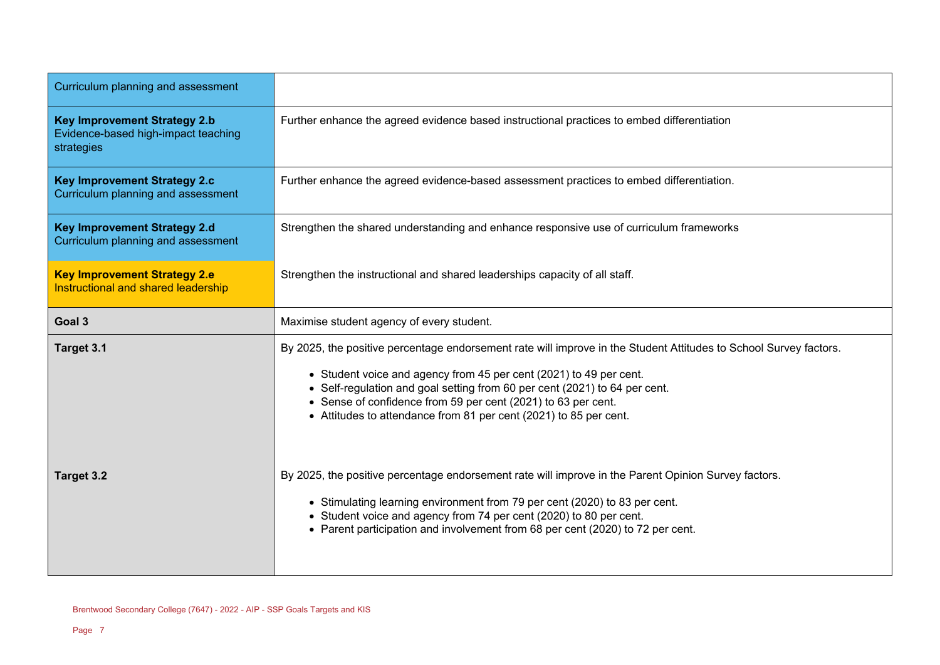| Curriculum planning and assessment                                                       |                                                                                                                                                                                                                                                                                                                                                                                                             |
|------------------------------------------------------------------------------------------|-------------------------------------------------------------------------------------------------------------------------------------------------------------------------------------------------------------------------------------------------------------------------------------------------------------------------------------------------------------------------------------------------------------|
| <b>Key Improvement Strategy 2.b</b><br>Evidence-based high-impact teaching<br>strategies | Further enhance the agreed evidence based instructional practices to embed differentiation                                                                                                                                                                                                                                                                                                                  |
| <b>Key Improvement Strategy 2.c</b><br><b>Curriculum planning and assessment</b>         | Further enhance the agreed evidence-based assessment practices to embed differentiation.                                                                                                                                                                                                                                                                                                                    |
| <b>Key Improvement Strategy 2.d</b><br>Curriculum planning and assessment                | Strengthen the shared understanding and enhance responsive use of curriculum frameworks                                                                                                                                                                                                                                                                                                                     |
| <b>Key Improvement Strategy 2.e</b><br>Instructional and shared leadership               | Strengthen the instructional and shared leaderships capacity of all staff.                                                                                                                                                                                                                                                                                                                                  |
| Goal 3                                                                                   | Maximise student agency of every student.                                                                                                                                                                                                                                                                                                                                                                   |
| Target 3.1                                                                               | By 2025, the positive percentage endorsement rate will improve in the Student Attitudes to School Survey factors.<br>• Student voice and agency from 45 per cent (2021) to 49 per cent.<br>• Self-regulation and goal setting from 60 per cent (2021) to 64 per cent.<br>• Sense of confidence from 59 per cent (2021) to 63 per cent.<br>• Attitudes to attendance from 81 per cent (2021) to 85 per cent. |
| Target 3.2                                                                               | By 2025, the positive percentage endorsement rate will improve in the Parent Opinion Survey factors.<br>• Stimulating learning environment from 79 per cent (2020) to 83 per cent.<br>• Student voice and agency from 74 per cent (2020) to 80 per cent.<br>• Parent participation and involvement from 68 per cent (2020) to 72 per cent.                                                                  |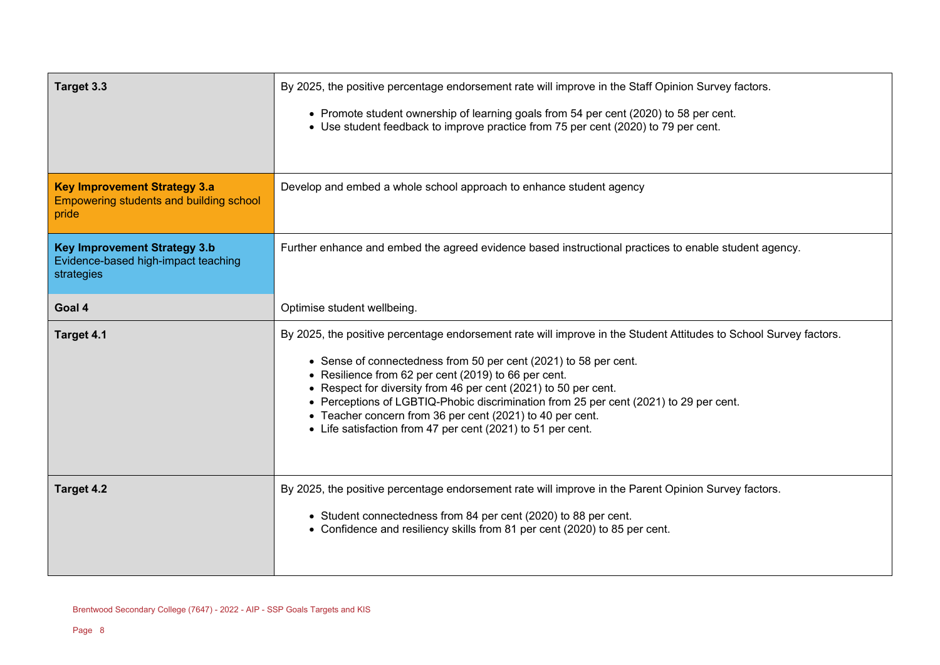| Target 3.3                                                                               | By 2025, the positive percentage endorsement rate will improve in the Staff Opinion Survey factors.                                                                                                                                                                                                                                                                                                                                                                                                                                   |
|------------------------------------------------------------------------------------------|---------------------------------------------------------------------------------------------------------------------------------------------------------------------------------------------------------------------------------------------------------------------------------------------------------------------------------------------------------------------------------------------------------------------------------------------------------------------------------------------------------------------------------------|
|                                                                                          | • Promote student ownership of learning goals from 54 per cent (2020) to 58 per cent.<br>• Use student feedback to improve practice from 75 per cent (2020) to 79 per cent.                                                                                                                                                                                                                                                                                                                                                           |
| <b>Key Improvement Strategy 3.a</b><br>Empowering students and building school<br>pride  | Develop and embed a whole school approach to enhance student agency                                                                                                                                                                                                                                                                                                                                                                                                                                                                   |
| <b>Key Improvement Strategy 3.b</b><br>Evidence-based high-impact teaching<br>strategies | Further enhance and embed the agreed evidence based instructional practices to enable student agency.                                                                                                                                                                                                                                                                                                                                                                                                                                 |
| Goal 4                                                                                   | Optimise student wellbeing.                                                                                                                                                                                                                                                                                                                                                                                                                                                                                                           |
| Target 4.1                                                                               | By 2025, the positive percentage endorsement rate will improve in the Student Attitudes to School Survey factors.<br>• Sense of connectedness from 50 per cent (2021) to 58 per cent.<br>• Resilience from 62 per cent (2019) to 66 per cent.<br>• Respect for diversity from 46 per cent (2021) to 50 per cent.<br>• Perceptions of LGBTIQ-Phobic discrimination from 25 per cent (2021) to 29 per cent.<br>• Teacher concern from 36 per cent (2021) to 40 per cent.<br>• Life satisfaction from 47 per cent (2021) to 51 per cent. |
| Target 4.2                                                                               | By 2025, the positive percentage endorsement rate will improve in the Parent Opinion Survey factors.<br>• Student connectedness from 84 per cent (2020) to 88 per cent.<br>• Confidence and resiliency skills from 81 per cent (2020) to 85 per cent.                                                                                                                                                                                                                                                                                 |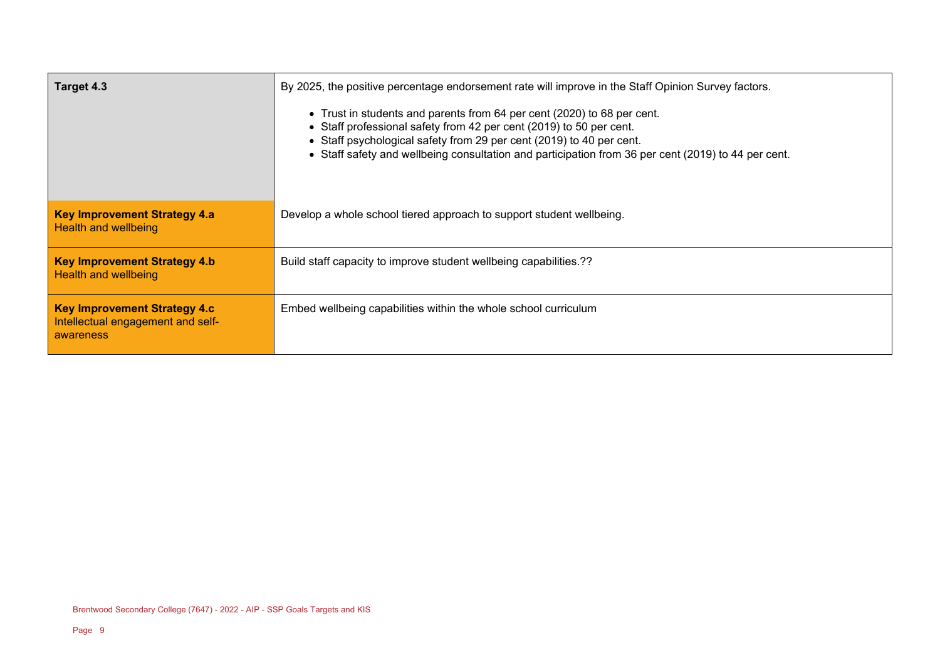| Target 4.3                                                                            | By 2025, the positive percentage endorsement rate will improve in the Staff Opinion Survey factors.<br>• Trust in students and parents from 64 per cent (2020) to 68 per cent.<br>• Staff professional safety from 42 per cent (2019) to 50 per cent.<br>• Staff psychological safety from 29 per cent (2019) to 40 per cent.<br>• Staff safety and wellbeing consultation and participation from 36 per cent (2019) to 44 per cent. |
|---------------------------------------------------------------------------------------|--------------------------------------------------------------------------------------------------------------------------------------------------------------------------------------------------------------------------------------------------------------------------------------------------------------------------------------------------------------------------------------------------------------------------------------|
| <b>Key Improvement Strategy 4.a</b><br>Health and wellbeing                           | Develop a whole school tiered approach to support student wellbeing.                                                                                                                                                                                                                                                                                                                                                                 |
| <b>Key Improvement Strategy 4.b</b><br>Health and wellbeing                           | Build staff capacity to improve student wellbeing capabilities.??                                                                                                                                                                                                                                                                                                                                                                    |
| <b>Key Improvement Strategy 4.c</b><br>Intellectual engagement and self-<br>awareness | Embed wellbeing capabilities within the whole school curriculum                                                                                                                                                                                                                                                                                                                                                                      |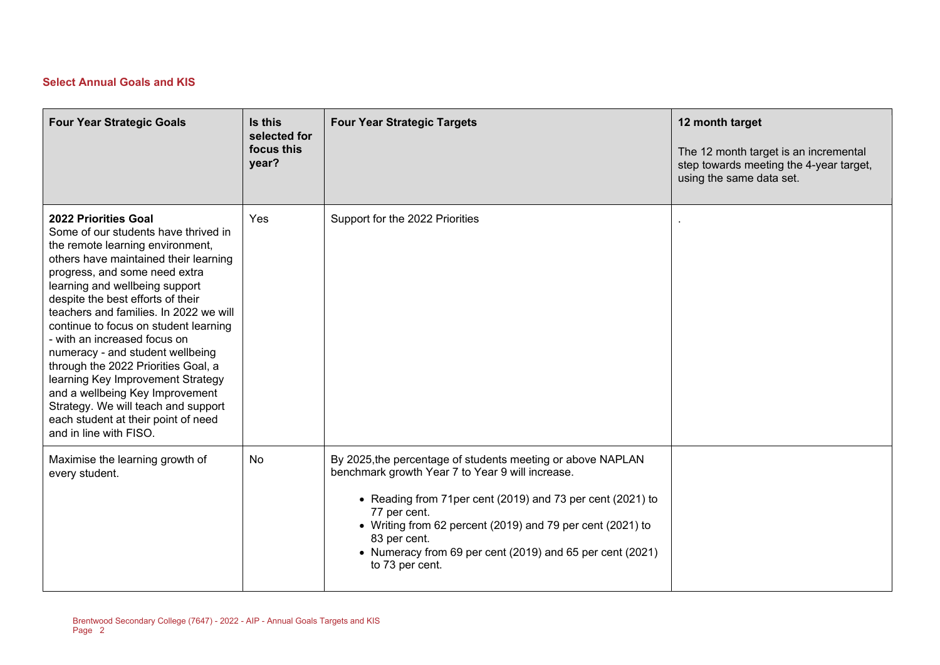## **Select Annual Goals and KIS**

| <b>Four Year Strategic Goals</b>                                                                                                                                                                                                                                                                                                                                                                                                                                                                                                                                                                                                       | Is this<br>selected for<br>focus this<br>year? | <b>Four Year Strategic Targets</b>                                                                                                                                                                                                                                                                                                                          | 12 month target<br>The 12 month target is an incremental<br>step towards meeting the 4-year target,<br>using the same data set. |
|----------------------------------------------------------------------------------------------------------------------------------------------------------------------------------------------------------------------------------------------------------------------------------------------------------------------------------------------------------------------------------------------------------------------------------------------------------------------------------------------------------------------------------------------------------------------------------------------------------------------------------------|------------------------------------------------|-------------------------------------------------------------------------------------------------------------------------------------------------------------------------------------------------------------------------------------------------------------------------------------------------------------------------------------------------------------|---------------------------------------------------------------------------------------------------------------------------------|
| <b>2022 Priorities Goal</b><br>Some of our students have thrived in<br>the remote learning environment,<br>others have maintained their learning<br>progress, and some need extra<br>learning and wellbeing support<br>despite the best efforts of their<br>teachers and families. In 2022 we will<br>continue to focus on student learning<br>- with an increased focus on<br>numeracy - and student wellbeing<br>through the 2022 Priorities Goal, a<br>learning Key Improvement Strategy<br>and a wellbeing Key Improvement<br>Strategy. We will teach and support<br>each student at their point of need<br>and in line with FISO. | Yes                                            | Support for the 2022 Priorities                                                                                                                                                                                                                                                                                                                             |                                                                                                                                 |
| Maximise the learning growth of<br>every student.                                                                                                                                                                                                                                                                                                                                                                                                                                                                                                                                                                                      | <b>No</b>                                      | By 2025, the percentage of students meeting or above NAPLAN<br>benchmark growth Year 7 to Year 9 will increase.<br>• Reading from 71per cent (2019) and 73 per cent (2021) to<br>77 per cent.<br>• Writing from 62 percent (2019) and 79 per cent (2021) to<br>83 per cent.<br>• Numeracy from 69 per cent (2019) and 65 per cent (2021)<br>to 73 per cent. |                                                                                                                                 |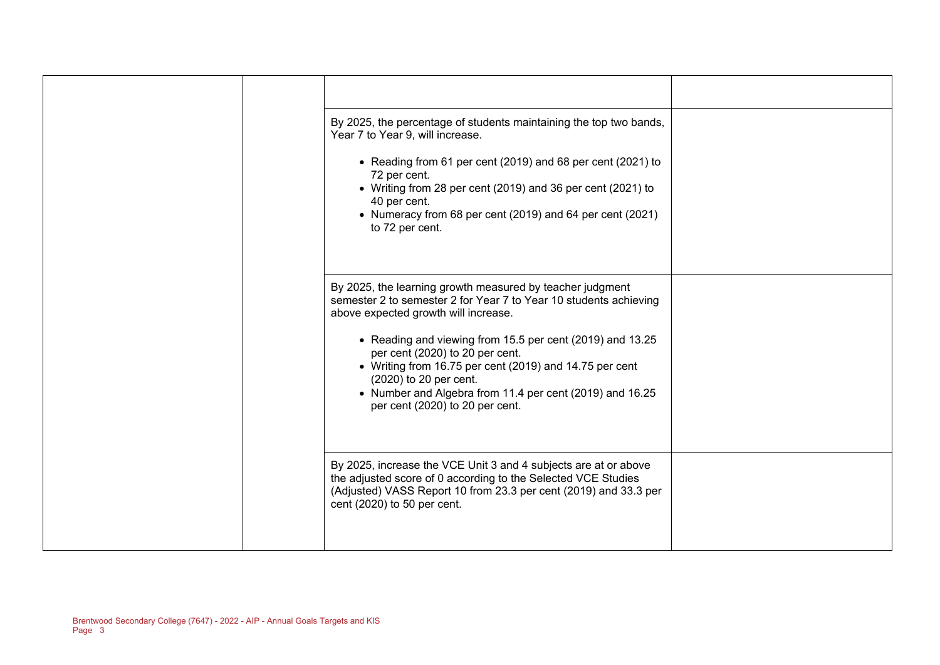|  |                                                                                                                                                                                                                                                                                                                                                                                                                                                            | By 2025, the percentage of students maintaining the top two bands,<br>Year 7 to Year 9, will increase.<br>• Reading from 61 per cent (2019) and 68 per cent (2021) to<br>72 per cent.<br>• Writing from 28 per cent (2019) and 36 per cent (2021) to<br>40 per cent.<br>• Numeracy from 68 per cent (2019) and 64 per cent (2021)<br>to 72 per cent. |  |
|--|------------------------------------------------------------------------------------------------------------------------------------------------------------------------------------------------------------------------------------------------------------------------------------------------------------------------------------------------------------------------------------------------------------------------------------------------------------|------------------------------------------------------------------------------------------------------------------------------------------------------------------------------------------------------------------------------------------------------------------------------------------------------------------------------------------------------|--|
|  | By 2025, the learning growth measured by teacher judgment<br>semester 2 to semester 2 for Year 7 to Year 10 students achieving<br>above expected growth will increase.<br>• Reading and viewing from 15.5 per cent (2019) and 13.25<br>per cent (2020) to 20 per cent.<br>• Writing from 16.75 per cent (2019) and 14.75 per cent<br>(2020) to 20 per cent.<br>• Number and Algebra from 11.4 per cent (2019) and 16.25<br>per cent (2020) to 20 per cent. |                                                                                                                                                                                                                                                                                                                                                      |  |
|  |                                                                                                                                                                                                                                                                                                                                                                                                                                                            | By 2025, increase the VCE Unit 3 and 4 subjects are at or above<br>the adjusted score of 0 according to the Selected VCE Studies<br>(Adjusted) VASS Report 10 from 23.3 per cent (2019) and 33.3 per<br>cent (2020) to 50 per cent.                                                                                                                  |  |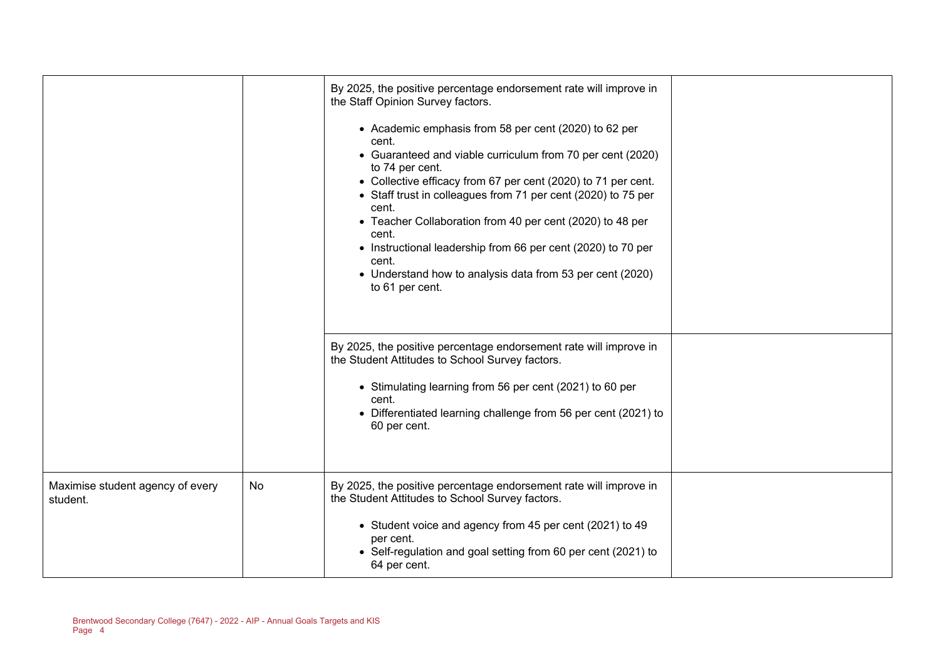|                                              |    | By 2025, the positive percentage endorsement rate will improve in<br>the Staff Opinion Survey factors.<br>• Academic emphasis from 58 per cent (2020) to 62 per<br>cent.<br>• Guaranteed and viable curriculum from 70 per cent (2020)<br>to 74 per cent.<br>• Collective efficacy from 67 per cent (2020) to 71 per cent.<br>• Staff trust in colleagues from 71 per cent (2020) to 75 per<br>cent.<br>• Teacher Collaboration from 40 per cent (2020) to 48 per<br>cent.<br>• Instructional leadership from 66 per cent (2020) to 70 per<br>cent.<br>• Understand how to analysis data from 53 per cent (2020)<br>to 61 per cent.<br>By 2025, the positive percentage endorsement rate will improve in<br>the Student Attitudes to School Survey factors.<br>• Stimulating learning from 56 per cent (2021) to 60 per<br>cent.<br>• Differentiated learning challenge from 56 per cent (2021) to<br>60 per cent. |  |
|----------------------------------------------|----|--------------------------------------------------------------------------------------------------------------------------------------------------------------------------------------------------------------------------------------------------------------------------------------------------------------------------------------------------------------------------------------------------------------------------------------------------------------------------------------------------------------------------------------------------------------------------------------------------------------------------------------------------------------------------------------------------------------------------------------------------------------------------------------------------------------------------------------------------------------------------------------------------------------------|--|
| Maximise student agency of every<br>student. | No | By 2025, the positive percentage endorsement rate will improve in<br>the Student Attitudes to School Survey factors.<br>• Student voice and agency from 45 per cent (2021) to 49<br>per cent.<br>• Self-regulation and goal setting from 60 per cent (2021) to<br>64 per cent.                                                                                                                                                                                                                                                                                                                                                                                                                                                                                                                                                                                                                                     |  |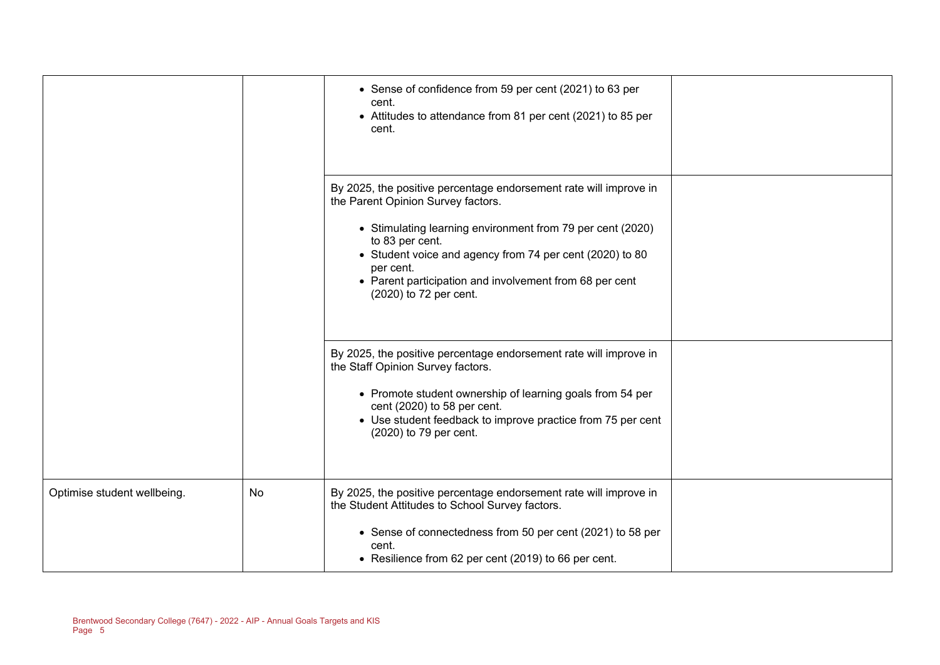|                             |    | • Sense of confidence from 59 per cent (2021) to 63 per<br>cent.<br>• Attitudes to attendance from 81 per cent (2021) to 85 per<br>cent.                                                                                                                                                                                                               |  |
|-----------------------------|----|--------------------------------------------------------------------------------------------------------------------------------------------------------------------------------------------------------------------------------------------------------------------------------------------------------------------------------------------------------|--|
|                             |    | By 2025, the positive percentage endorsement rate will improve in<br>the Parent Opinion Survey factors.<br>• Stimulating learning environment from 79 per cent (2020)<br>to 83 per cent.<br>• Student voice and agency from 74 per cent (2020) to 80<br>per cent.<br>• Parent participation and involvement from 68 per cent<br>(2020) to 72 per cent. |  |
|                             |    | By 2025, the positive percentage endorsement rate will improve in<br>the Staff Opinion Survey factors.<br>• Promote student ownership of learning goals from 54 per<br>cent (2020) to 58 per cent.<br>• Use student feedback to improve practice from 75 per cent<br>(2020) to 79 per cent.                                                            |  |
| Optimise student wellbeing. | No | By 2025, the positive percentage endorsement rate will improve in<br>the Student Attitudes to School Survey factors.<br>• Sense of connectedness from 50 per cent (2021) to 58 per<br>cent.<br>• Resilience from 62 per cent (2019) to 66 per cent.                                                                                                    |  |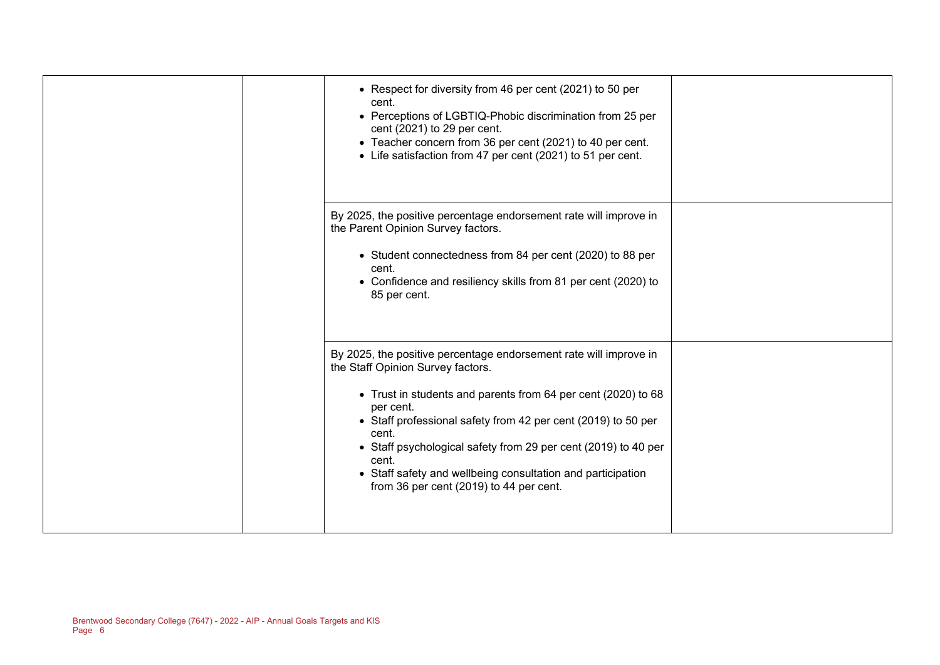| • Respect for diversity from 46 per cent (2021) to 50 per<br>cent.<br>• Perceptions of LGBTIQ-Phobic discrimination from 25 per<br>cent (2021) to 29 per cent.<br>• Teacher concern from 36 per cent (2021) to 40 per cent.<br>• Life satisfaction from 47 per cent (2021) to 51 per cent.                                                                                                                                                          |  |
|-----------------------------------------------------------------------------------------------------------------------------------------------------------------------------------------------------------------------------------------------------------------------------------------------------------------------------------------------------------------------------------------------------------------------------------------------------|--|
| By 2025, the positive percentage endorsement rate will improve in<br>the Parent Opinion Survey factors.<br>• Student connectedness from 84 per cent (2020) to 88 per<br>cent.<br>• Confidence and resiliency skills from 81 per cent (2020) to<br>85 per cent.                                                                                                                                                                                      |  |
| By 2025, the positive percentage endorsement rate will improve in<br>the Staff Opinion Survey factors.<br>• Trust in students and parents from 64 per cent (2020) to 68<br>per cent.<br>• Staff professional safety from 42 per cent (2019) to 50 per<br>cent.<br>• Staff psychological safety from 29 per cent (2019) to 40 per<br>cent.<br>• Staff safety and wellbeing consultation and participation<br>from 36 per cent (2019) to 44 per cent. |  |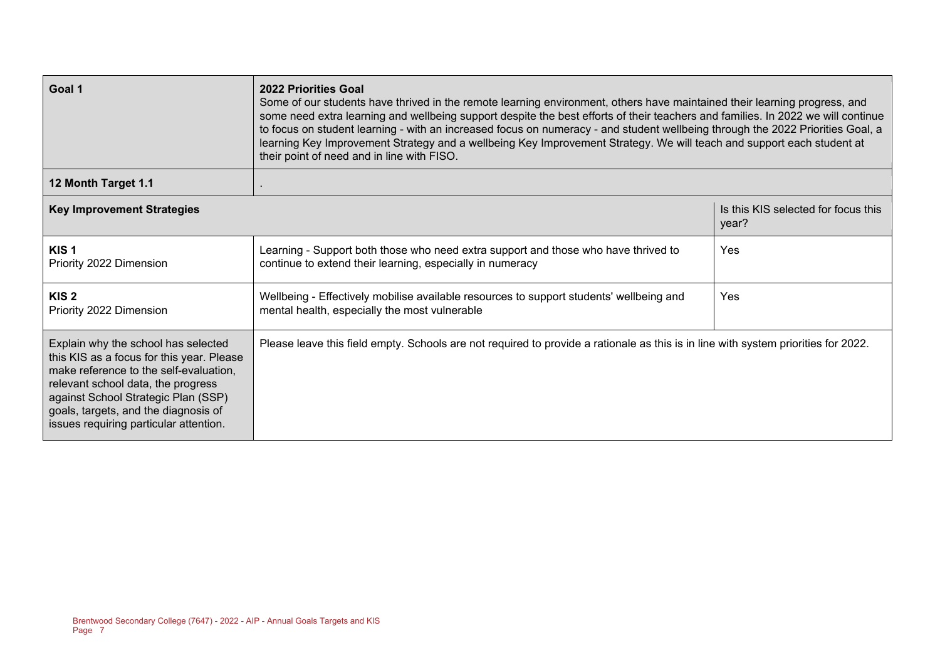| Goal 1                                                                                                                                                                                                                                                                                    | <b>2022 Priorities Goal</b><br>Some of our students have thrived in the remote learning environment, others have maintained their learning progress, and<br>some need extra learning and wellbeing support despite the best efforts of their teachers and families. In 2022 we will continue<br>to focus on student learning - with an increased focus on numeracy - and student wellbeing through the 2022 Priorities Goal, a<br>learning Key Improvement Strategy and a wellbeing Key Improvement Strategy. We will teach and support each student at<br>their point of need and in line with FISO. |                                              |  |  |
|-------------------------------------------------------------------------------------------------------------------------------------------------------------------------------------------------------------------------------------------------------------------------------------------|-------------------------------------------------------------------------------------------------------------------------------------------------------------------------------------------------------------------------------------------------------------------------------------------------------------------------------------------------------------------------------------------------------------------------------------------------------------------------------------------------------------------------------------------------------------------------------------------------------|----------------------------------------------|--|--|
| 12 Month Target 1.1                                                                                                                                                                                                                                                                       |                                                                                                                                                                                                                                                                                                                                                                                                                                                                                                                                                                                                       |                                              |  |  |
| <b>Key Improvement Strategies</b>                                                                                                                                                                                                                                                         |                                                                                                                                                                                                                                                                                                                                                                                                                                                                                                                                                                                                       | Is this KIS selected for focus this<br>year? |  |  |
| KIS <sub>1</sub><br>Priority 2022 Dimension                                                                                                                                                                                                                                               | Learning - Support both those who need extra support and those who have thrived to<br>continue to extend their learning, especially in numeracy                                                                                                                                                                                                                                                                                                                                                                                                                                                       | Yes                                          |  |  |
| KIS <sub>2</sub><br>Priority 2022 Dimension                                                                                                                                                                                                                                               | Wellbeing - Effectively mobilise available resources to support students' wellbeing and<br>mental health, especially the most vulnerable                                                                                                                                                                                                                                                                                                                                                                                                                                                              | Yes                                          |  |  |
| Explain why the school has selected<br>this KIS as a focus for this year. Please<br>make reference to the self-evaluation,<br>relevant school data, the progress<br>against School Strategic Plan (SSP)<br>goals, targets, and the diagnosis of<br>issues requiring particular attention. | Please leave this field empty. Schools are not required to provide a rationale as this is in line with system priorities for 2022.                                                                                                                                                                                                                                                                                                                                                                                                                                                                    |                                              |  |  |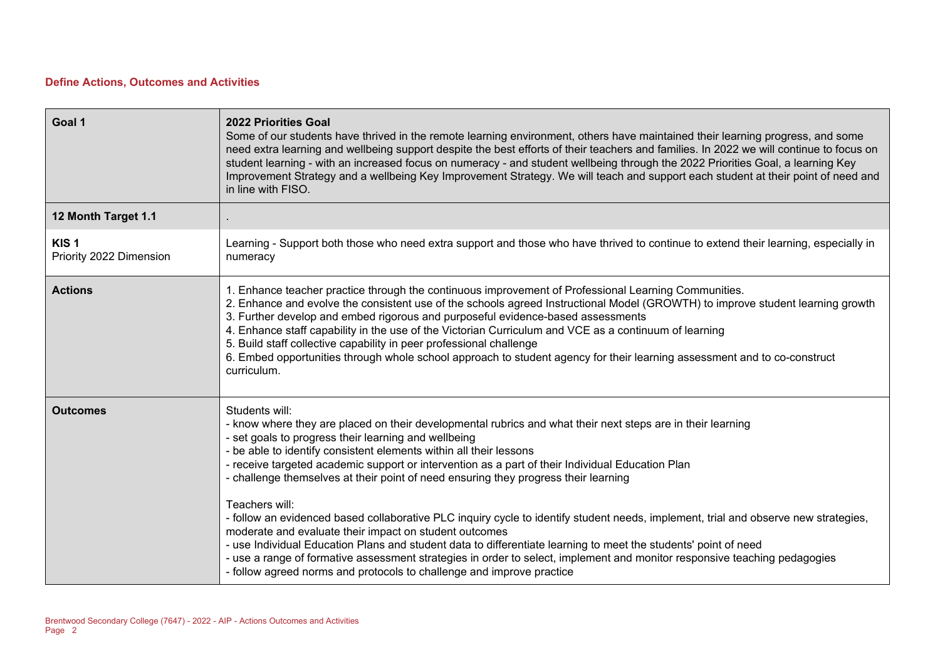### **Define Actions, Outcomes and Activities**

| Goal 1                                      | <b>2022 Priorities Goal</b><br>Some of our students have thrived in the remote learning environment, others have maintained their learning progress, and some<br>need extra learning and wellbeing support despite the best efforts of their teachers and families. In 2022 we will continue to focus on<br>student learning - with an increased focus on numeracy - and student wellbeing through the 2022 Priorities Goal, a learning Key<br>Improvement Strategy and a wellbeing Key Improvement Strategy. We will teach and support each student at their point of need and<br>in line with FISO.                                                                                                                                                                                                                                                                                                                                                                                              |
|---------------------------------------------|----------------------------------------------------------------------------------------------------------------------------------------------------------------------------------------------------------------------------------------------------------------------------------------------------------------------------------------------------------------------------------------------------------------------------------------------------------------------------------------------------------------------------------------------------------------------------------------------------------------------------------------------------------------------------------------------------------------------------------------------------------------------------------------------------------------------------------------------------------------------------------------------------------------------------------------------------------------------------------------------------|
| 12 Month Target 1.1                         |                                                                                                                                                                                                                                                                                                                                                                                                                                                                                                                                                                                                                                                                                                                                                                                                                                                                                                                                                                                                    |
| KIS <sub>1</sub><br>Priority 2022 Dimension | Learning - Support both those who need extra support and those who have thrived to continue to extend their learning, especially in<br>numeracy                                                                                                                                                                                                                                                                                                                                                                                                                                                                                                                                                                                                                                                                                                                                                                                                                                                    |
| <b>Actions</b>                              | 1. Enhance teacher practice through the continuous improvement of Professional Learning Communities.<br>2. Enhance and evolve the consistent use of the schools agreed Instructional Model (GROWTH) to improve student learning growth<br>3. Further develop and embed rigorous and purposeful evidence-based assessments<br>4. Enhance staff capability in the use of the Victorian Curriculum and VCE as a continuum of learning<br>5. Build staff collective capability in peer professional challenge<br>6. Embed opportunities through whole school approach to student agency for their learning assessment and to co-construct<br>curriculum.                                                                                                                                                                                                                                                                                                                                               |
| <b>Outcomes</b>                             | Students will:<br>- know where they are placed on their developmental rubrics and what their next steps are in their learning<br>- set goals to progress their learning and wellbeing<br>- be able to identify consistent elements within all their lessons<br>- receive targeted academic support or intervention as a part of their Individual Education Plan<br>- challenge themselves at their point of need ensuring they progress their learning<br>Teachers will:<br>- follow an evidenced based collaborative PLC inquiry cycle to identify student needs, implement, trial and observe new strategies,<br>moderate and evaluate their impact on student outcomes<br>- use Individual Education Plans and student data to differentiate learning to meet the students' point of need<br>- use a range of formative assessment strategies in order to select, implement and monitor responsive teaching pedagogies<br>- follow agreed norms and protocols to challenge and improve practice |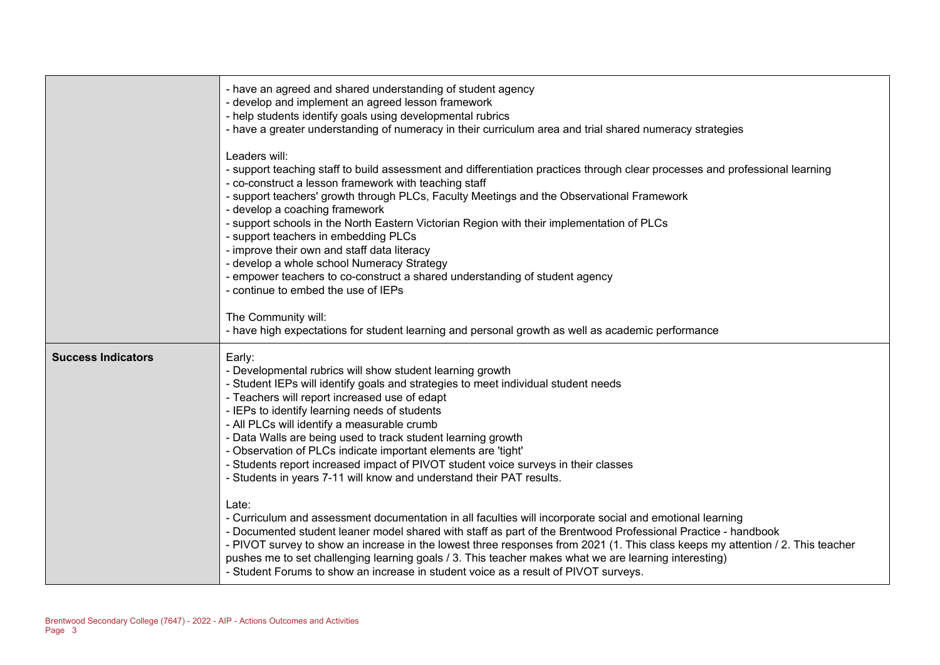|                           | - have an agreed and shared understanding of student agency<br>- develop and implement an agreed lesson framework<br>- help students identify goals using developmental rubrics<br>- have a greater understanding of numeracy in their curriculum area and trial shared numeracy strategies<br>Leaders will:<br>- support teaching staff to build assessment and differentiation practices through clear processes and professional learning<br>- co-construct a lesson framework with teaching staff<br>- support teachers' growth through PLCs, Faculty Meetings and the Observational Framework<br>- develop a coaching framework<br>- support schools in the North Eastern Victorian Region with their implementation of PLCs<br>- support teachers in embedding PLCs<br>- improve their own and staff data literacy<br>- develop a whole school Numeracy Strategy<br>- empower teachers to co-construct a shared understanding of student agency<br>- continue to embed the use of IEPs<br>The Community will:<br>- have high expectations for student learning and personal growth as well as academic performance                                                           |
|---------------------------|------------------------------------------------------------------------------------------------------------------------------------------------------------------------------------------------------------------------------------------------------------------------------------------------------------------------------------------------------------------------------------------------------------------------------------------------------------------------------------------------------------------------------------------------------------------------------------------------------------------------------------------------------------------------------------------------------------------------------------------------------------------------------------------------------------------------------------------------------------------------------------------------------------------------------------------------------------------------------------------------------------------------------------------------------------------------------------------------------------------------------------------------------------------------------------|
| <b>Success Indicators</b> | Early:<br>- Developmental rubrics will show student learning growth<br>- Student IEPs will identify goals and strategies to meet individual student needs<br>- Teachers will report increased use of edapt<br>- IEPs to identify learning needs of students<br>- All PLCs will identify a measurable crumb<br>- Data Walls are being used to track student learning growth<br>- Observation of PLCs indicate important elements are 'tight'<br>- Students report increased impact of PIVOT student voice surveys in their classes<br>- Students in years 7-11 will know and understand their PAT results.<br>Late:<br>- Curriculum and assessment documentation in all faculties will incorporate social and emotional learning<br>- Documented student leaner model shared with staff as part of the Brentwood Professional Practice - handbook<br>- PIVOT survey to show an increase in the lowest three responses from 2021 (1. This class keeps my attention / 2. This teacher<br>pushes me to set challenging learning goals / 3. This teacher makes what we are learning interesting)<br>- Student Forums to show an increase in student voice as a result of PIVOT surveys. |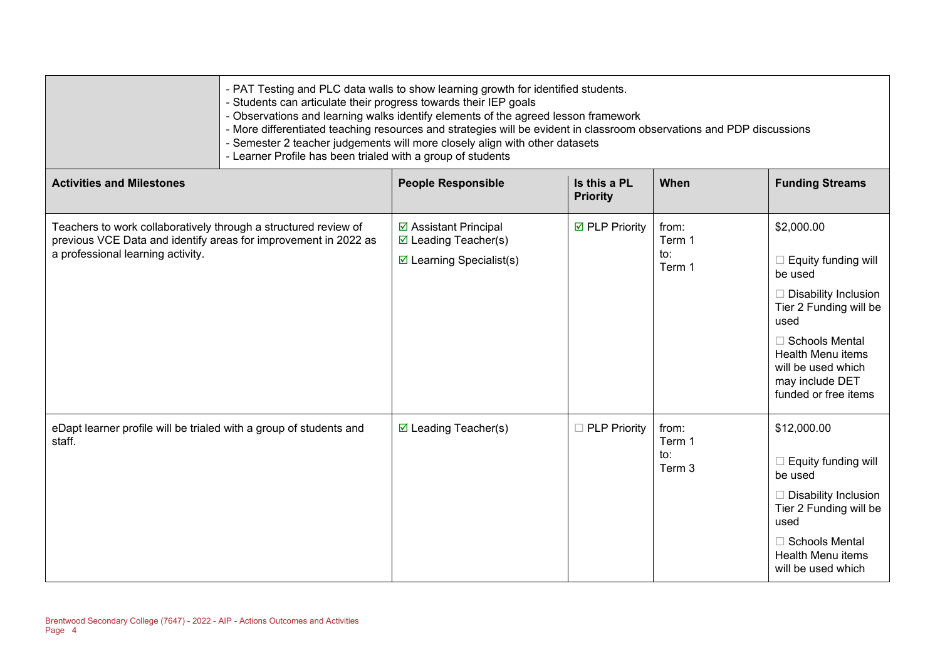| - PAT Testing and PLC data walls to show learning growth for identified students.<br>- Students can articulate their progress towards their IEP goals<br>- Observations and learning walks identify elements of the agreed lesson framework<br>- More differentiated teaching resources and strategies will be evident in classroom observations and PDP discussions<br>- Semester 2 teacher judgements will more closely align with other datasets<br>- Learner Profile has been trialed with a group of students |
|--------------------------------------------------------------------------------------------------------------------------------------------------------------------------------------------------------------------------------------------------------------------------------------------------------------------------------------------------------------------------------------------------------------------------------------------------------------------------------------------------------------------|
|--------------------------------------------------------------------------------------------------------------------------------------------------------------------------------------------------------------------------------------------------------------------------------------------------------------------------------------------------------------------------------------------------------------------------------------------------------------------------------------------------------------------|

| <b>Activities and Milestones</b>                                                                                                                                        | <b>People Responsible</b>                                                                     | Is this a PL<br><b>Priority</b> | When                             | <b>Funding Streams</b>                                                                                                                                                                                                       |
|-------------------------------------------------------------------------------------------------------------------------------------------------------------------------|-----------------------------------------------------------------------------------------------|---------------------------------|----------------------------------|------------------------------------------------------------------------------------------------------------------------------------------------------------------------------------------------------------------------------|
| Teachers to work collaboratively through a structured review of<br>previous VCE Data and identify areas for improvement in 2022 as<br>a professional learning activity. | ☑ Assistant Principal<br>$\boxtimes$ Leading Teacher(s)<br>$\boxtimes$ Learning Specialist(s) | <b>Ø</b> PLP Priority           | from:<br>Term 1<br>to:<br>Term 1 | \$2,000.00<br>Equity funding will<br>be used<br>$\Box$ Disability Inclusion<br>Tier 2 Funding will be<br>used<br>$\Box$ Schools Mental<br>Health Menu items<br>will be used which<br>may include DET<br>funded or free items |
| eDapt learner profile will be trialed with a group of students and<br>staff.                                                                                            | $\boxtimes$ Leading Teacher(s)                                                                | $\Box$ PLP Priority             | from:<br>Term 1<br>to:<br>Term 3 | \$12,000.00<br>$\Box$ Equity funding will<br>be used<br>$\Box$ Disability Inclusion<br>Tier 2 Funding will be<br>used<br>$\Box$ Schools Mental<br>Health Menu items<br>will be used which                                    |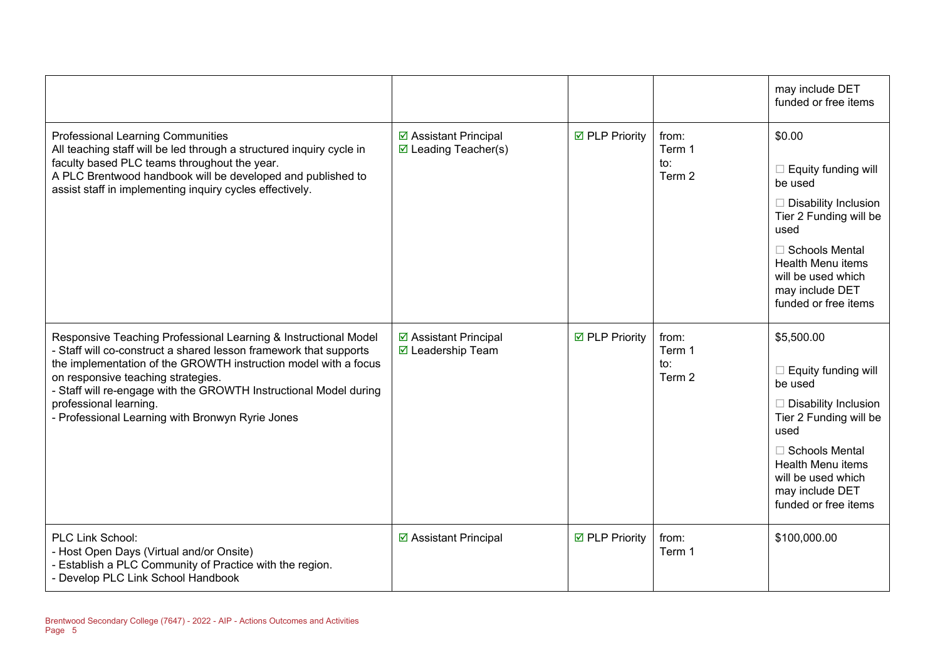|                                                                                                                                                                                                                                                                                                                                                                                                  |                                                         |                       |                                  | may include DET<br>funded or free items                                                                                                                                                                                                    |
|--------------------------------------------------------------------------------------------------------------------------------------------------------------------------------------------------------------------------------------------------------------------------------------------------------------------------------------------------------------------------------------------------|---------------------------------------------------------|-----------------------|----------------------------------|--------------------------------------------------------------------------------------------------------------------------------------------------------------------------------------------------------------------------------------------|
| <b>Professional Learning Communities</b><br>All teaching staff will be led through a structured inquiry cycle in<br>faculty based PLC teams throughout the year.<br>A PLC Brentwood handbook will be developed and published to<br>assist staff in implementing inquiry cycles effectively.                                                                                                      | ☑ Assistant Principal<br>$\boxtimes$ Leading Teacher(s) | <b>☑</b> PLP Priority | from:<br>Term 1<br>to:<br>Term 2 | \$0.00<br>$\Box$ Equity funding will<br>be used<br>$\Box$ Disability Inclusion<br>Tier 2 Funding will be<br>used<br>$\Box$ Schools Mental<br><b>Health Menu items</b><br>will be used which<br>may include DET<br>funded or free items     |
| Responsive Teaching Professional Learning & Instructional Model<br>- Staff will co-construct a shared lesson framework that supports<br>the implementation of the GROWTH instruction model with a focus<br>on responsive teaching strategies.<br>- Staff will re-engage with the GROWTH Instructional Model during<br>professional learning.<br>- Professional Learning with Bronwyn Ryrie Jones | ☑ Assistant Principal<br>☑ Leadership Team              | ☑ PLP Priority        | from:<br>Term 1<br>to:<br>Term 2 | \$5,500.00<br>$\Box$ Equity funding will<br>be used<br>$\Box$ Disability Inclusion<br>Tier 2 Funding will be<br>used<br>$\Box$ Schools Mental<br><b>Health Menu items</b><br>will be used which<br>may include DET<br>funded or free items |
| PLC Link School:<br>- Host Open Days (Virtual and/or Onsite)<br>Establish a PLC Community of Practice with the region.<br>- Develop PLC Link School Handbook                                                                                                                                                                                                                                     | ☑ Assistant Principal                                   | <b>Ø</b> PLP Priority | from:<br>Term 1                  | \$100,000.00                                                                                                                                                                                                                               |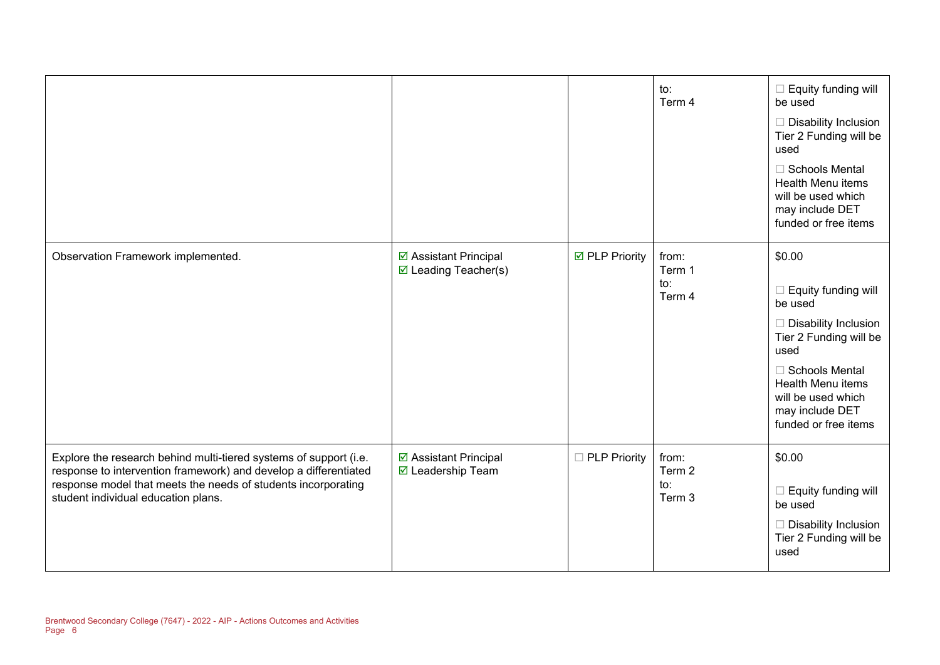|                                                                                                                                                                                                                                               |                                                         |                     | to:<br>Term 4                               | $\Box$ Equity funding will<br>be used<br>$\Box$ Disability Inclusion<br>Tier 2 Funding will be<br>used<br>$\Box$ Schools Mental<br>Health Menu items<br>will be used which<br>may include DET<br>funded or free items           |
|-----------------------------------------------------------------------------------------------------------------------------------------------------------------------------------------------------------------------------------------------|---------------------------------------------------------|---------------------|---------------------------------------------|---------------------------------------------------------------------------------------------------------------------------------------------------------------------------------------------------------------------------------|
| Observation Framework implemented.                                                                                                                                                                                                            | ☑ Assistant Principal<br>$\boxtimes$ Leading Teacher(s) | ☑ PLP Priority      | from:<br>Term 1<br>$\mathsf{to}:$<br>Term 4 | \$0.00<br>$\Box$ Equity funding will<br>be used<br>$\Box$ Disability Inclusion<br>Tier 2 Funding will be<br>used<br>$\Box$ Schools Mental<br>Health Menu items<br>will be used which<br>may include DET<br>funded or free items |
| Explore the research behind multi-tiered systems of support (i.e.<br>response to intervention framework) and develop a differentiated<br>response model that meets the needs of students incorporating<br>student individual education plans. | ☑ Assistant Principal<br>☑ Leadership Team              | $\Box$ PLP Priority | from:<br>Term 2<br>$\mathsf{to}:$<br>Term 3 | \$0.00<br>$\Box$ Equity funding will<br>be used<br>$\Box$ Disability Inclusion<br>Tier 2 Funding will be<br>used                                                                                                                |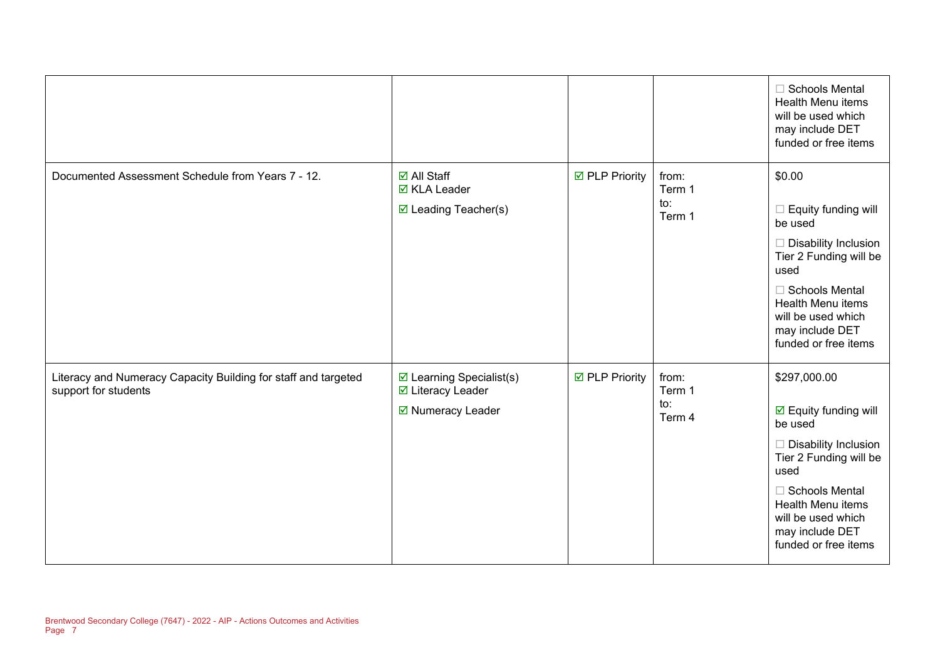|                                                                                        |                                                                              |                |                                  | <b>Schools Mental</b><br><b>Health Menu items</b><br>will be used which<br>may include DET<br>funded or free items                                                                                                                                              |
|----------------------------------------------------------------------------------------|------------------------------------------------------------------------------|----------------|----------------------------------|-----------------------------------------------------------------------------------------------------------------------------------------------------------------------------------------------------------------------------------------------------------------|
| Documented Assessment Schedule from Years 7 - 12.                                      | <b>Ø</b> All Staff<br><b>Ø</b> KLA Leader<br>$\boxtimes$ Leading Teacher(s)  | ☑ PLP Priority | from:<br>Term 1<br>to:<br>Term 1 | \$0.00<br>Equity funding will<br>be used<br>Disability Inclusion<br>Tier 2 Funding will be<br>used<br>$\Box$ Schools Mental<br>Health Menu items<br>will be used which<br>may include DET<br>funded or free items                                               |
| Literacy and Numeracy Capacity Building for staff and targeted<br>support for students | $\boxtimes$ Learning Specialist(s)<br>☑ Literacy Leader<br>☑ Numeracy Leader | ☑ PLP Priority | from:<br>Term 1<br>to:<br>Term 4 | \$297,000.00<br>$\boxdot$ Equity funding will<br>be used<br>Disability Inclusion<br>$\overline{\phantom{a}}$<br>Tier 2 Funding will be<br>used<br>□ Schools Mental<br><b>Health Menu items</b><br>will be used which<br>may include DET<br>funded or free items |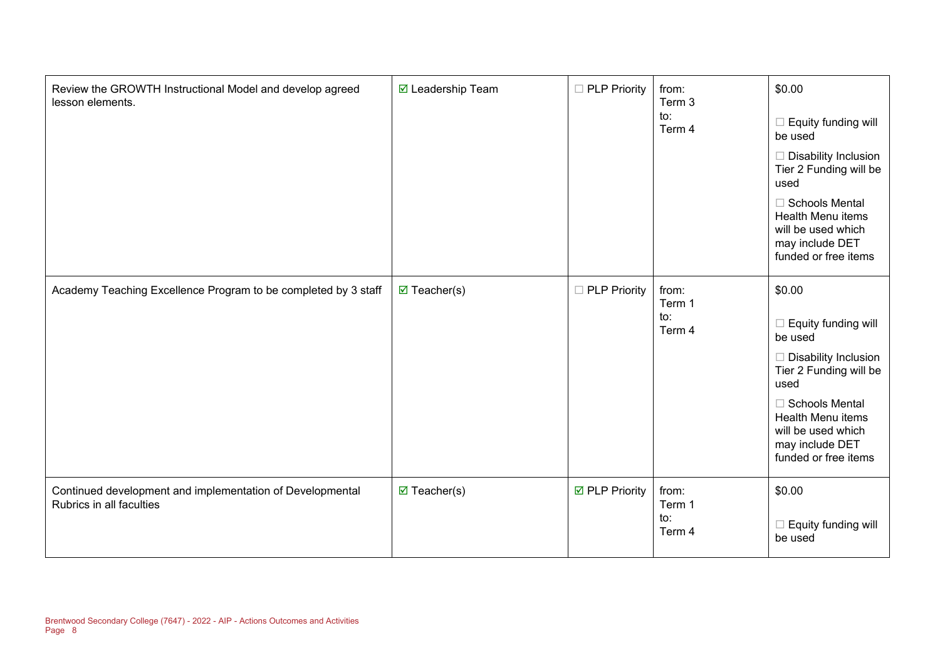| Review the GROWTH Instructional Model and develop agreed<br>lesson elements.          | ☑ Leadership Team      | □ PLP Priority      | from:<br>Term 3<br>to:<br>Term 4 | \$0.00<br>Equity funding will<br>be used<br>Disability Inclusion<br>Tier 2 Funding will be<br>used<br><b>Schools Mental</b><br>Health Menu items<br>will be used which<br>may include DET<br>funded or free items |
|---------------------------------------------------------------------------------------|------------------------|---------------------|----------------------------------|-------------------------------------------------------------------------------------------------------------------------------------------------------------------------------------------------------------------|
| Academy Teaching Excellence Program to be completed by 3 staff                        | $\boxtimes$ Teacher(s) | $\Box$ PLP Priority | from:<br>Term 1<br>to:<br>Term 4 | \$0.00<br>Equity funding will<br>be used<br><b>Disability Inclusion</b><br>Tier 2 Funding will be<br>used<br>Schools Mental<br>Health Menu items<br>will be used which<br>may include DET<br>funded or free items |
| Continued development and implementation of Developmental<br>Rubrics in all faculties | $\boxtimes$ Teacher(s) | ☑ PLP Priority      | from:<br>Term 1<br>to:<br>Term 4 | \$0.00<br>Equity funding will<br>be used                                                                                                                                                                          |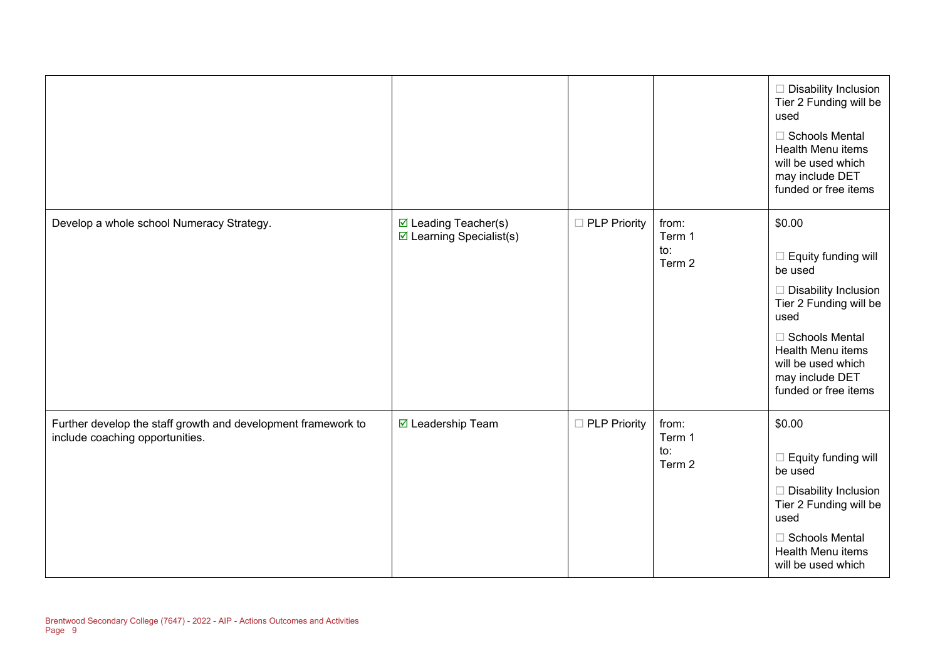|                                                                                                  |                                                                    |                     |                                  | $\Box$ Disability Inclusion<br>Tier 2 Funding will be<br>used<br>□ Schools Mental<br>Health Menu items<br>will be used which<br>may include DET<br>funded or free items                                                    |
|--------------------------------------------------------------------------------------------------|--------------------------------------------------------------------|---------------------|----------------------------------|----------------------------------------------------------------------------------------------------------------------------------------------------------------------------------------------------------------------------|
| Develop a whole school Numeracy Strategy.                                                        | $\boxtimes$ Leading Teacher(s)<br>$\boxdot$ Learning Specialist(s) | $\Box$ PLP Priority | from:<br>Term 1<br>to:<br>Term 2 | \$0.00<br>$\Box$ Equity funding will<br>be used<br>$\Box$ Disability Inclusion<br>Tier 2 Funding will be<br>used<br>□ Schools Mental<br>Health Menu items<br>will be used which<br>may include DET<br>funded or free items |
| Further develop the staff growth and development framework to<br>include coaching opportunities. | ☑ Leadership Team                                                  | □ PLP Priority      | from:<br>Term 1<br>to:<br>Term 2 | \$0.00<br>$\Box$ Equity funding will<br>be used<br>$\Box$ Disability Inclusion<br>Tier 2 Funding will be<br>used<br>□ Schools Mental<br><b>Health Menu items</b><br>will be used which                                     |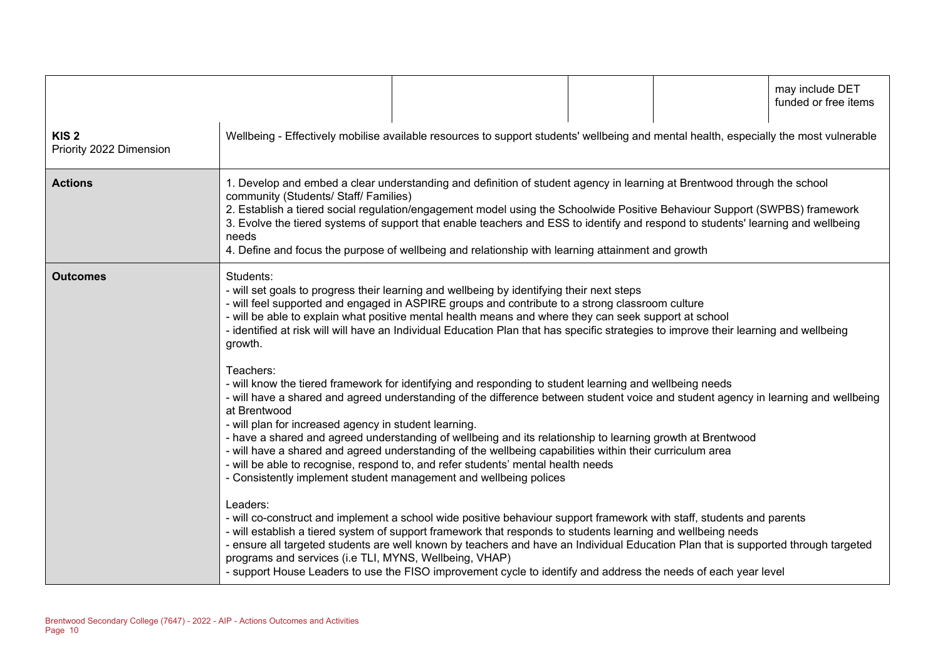|                                             |                                                                                                                                                                                                                                                                                                                                                                                                                                                                                                                                                  |                                                                                                                                                                                                                                                                                                                                                                                                                                                                                                                                                                                                                                  |  | may include DET<br>funded or free items |
|---------------------------------------------|--------------------------------------------------------------------------------------------------------------------------------------------------------------------------------------------------------------------------------------------------------------------------------------------------------------------------------------------------------------------------------------------------------------------------------------------------------------------------------------------------------------------------------------------------|----------------------------------------------------------------------------------------------------------------------------------------------------------------------------------------------------------------------------------------------------------------------------------------------------------------------------------------------------------------------------------------------------------------------------------------------------------------------------------------------------------------------------------------------------------------------------------------------------------------------------------|--|-----------------------------------------|
| KIS <sub>2</sub><br>Priority 2022 Dimension |                                                                                                                                                                                                                                                                                                                                                                                                                                                                                                                                                  | Wellbeing - Effectively mobilise available resources to support students' wellbeing and mental health, especially the most vulnerable                                                                                                                                                                                                                                                                                                                                                                                                                                                                                            |  |                                         |
| <b>Actions</b>                              | 1. Develop and embed a clear understanding and definition of student agency in learning at Brentwood through the school<br>community (Students/ Staff/ Families)<br>2. Establish a tiered social regulation/engagement model using the Schoolwide Positive Behaviour Support (SWPBS) framework<br>3. Evolve the tiered systems of support that enable teachers and ESS to identify and respond to students' learning and wellbeing<br>needs<br>4. Define and focus the purpose of wellbeing and relationship with learning attainment and growth |                                                                                                                                                                                                                                                                                                                                                                                                                                                                                                                                                                                                                                  |  |                                         |
| <b>Outcomes</b>                             | Students:<br>growth.                                                                                                                                                                                                                                                                                                                                                                                                                                                                                                                             | - will set goals to progress their learning and wellbeing by identifying their next steps<br>- will feel supported and engaged in ASPIRE groups and contribute to a strong classroom culture<br>- will be able to explain what positive mental health means and where they can seek support at school<br>- identified at risk will will have an Individual Education Plan that has specific strategies to improve their learning and wellbeing                                                                                                                                                                                   |  |                                         |
|                                             | Teachers:<br>at Brentwood<br>- will plan for increased agency in student learning.                                                                                                                                                                                                                                                                                                                                                                                                                                                               | - will know the tiered framework for identifying and responding to student learning and wellbeing needs<br>- will have a shared and agreed understanding of the difference between student voice and student agency in learning and wellbeing<br>- have a shared and agreed understanding of wellbeing and its relationship to learning growth at Brentwood<br>- will have a shared and agreed understanding of the wellbeing capabilities within their curriculum area<br>- will be able to recognise, respond to, and refer students' mental health needs<br>- Consistently implement student management and wellbeing polices |  |                                         |
|                                             | Leaders:<br>programs and services (i.e TLI, MYNS, Wellbeing, VHAP)                                                                                                                                                                                                                                                                                                                                                                                                                                                                               | - will co-construct and implement a school wide positive behaviour support framework with staff, students and parents<br>- will establish a tiered system of support framework that responds to students learning and wellbeing needs<br>- ensure all targeted students are well known by teachers and have an Individual Education Plan that is supported through targeted<br>- support House Leaders to use the FISO improvement cycle to identify and address the needs of each year level                                                                                                                                    |  |                                         |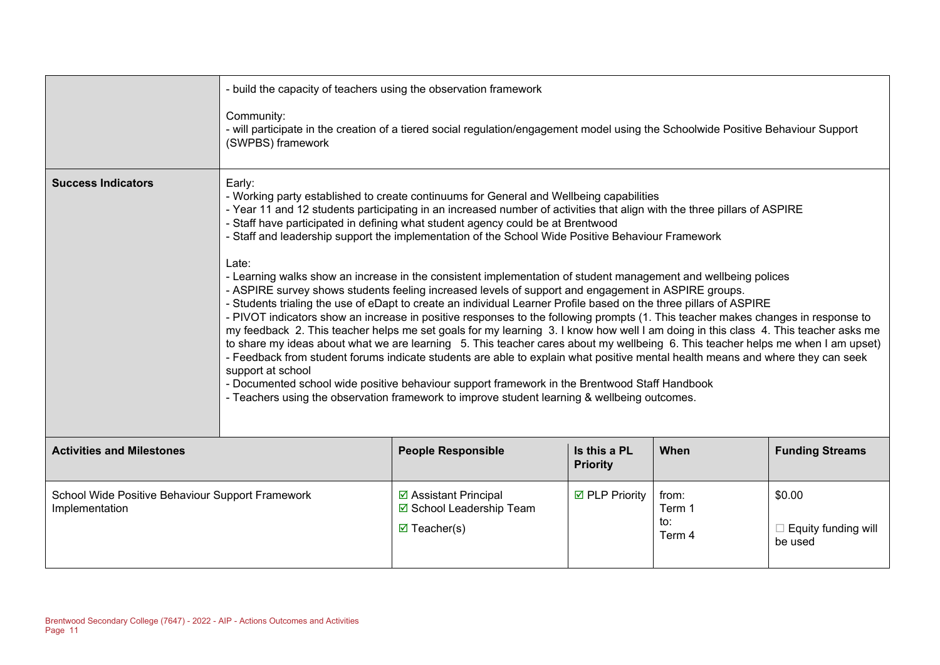|                                                                    | - build the capacity of teachers using the observation framework<br>Community:<br>- will participate in the creation of a tiered social regulation/engagement model using the Schoolwide Positive Behaviour Support<br>(SWPBS) framework                                                                                                                                                                                                                                                                                                                                                                                                                                                                                                                                                                                                                                                                                                                                                                                                                                                                                                                                                                                                                                                                                                                                                                                                                                                                                                          |                                                                             |                                 |                                  |                                                 |
|--------------------------------------------------------------------|---------------------------------------------------------------------------------------------------------------------------------------------------------------------------------------------------------------------------------------------------------------------------------------------------------------------------------------------------------------------------------------------------------------------------------------------------------------------------------------------------------------------------------------------------------------------------------------------------------------------------------------------------------------------------------------------------------------------------------------------------------------------------------------------------------------------------------------------------------------------------------------------------------------------------------------------------------------------------------------------------------------------------------------------------------------------------------------------------------------------------------------------------------------------------------------------------------------------------------------------------------------------------------------------------------------------------------------------------------------------------------------------------------------------------------------------------------------------------------------------------------------------------------------------------|-----------------------------------------------------------------------------|---------------------------------|----------------------------------|-------------------------------------------------|
| <b>Success Indicators</b>                                          | Early:<br>- Working party established to create continuums for General and Wellbeing capabilities<br>- Year 11 and 12 students participating in an increased number of activities that align with the three pillars of ASPIRE<br>- Staff have participated in defining what student agency could be at Brentwood<br>- Staff and leadership support the implementation of the School Wide Positive Behaviour Framework<br>Late:<br>- Learning walks show an increase in the consistent implementation of student management and wellbeing polices<br>- ASPIRE survey shows students feeling increased levels of support and engagement in ASPIRE groups.<br>- Students trialing the use of eDapt to create an individual Learner Profile based on the three pillars of ASPIRE<br>- PIVOT indicators show an increase in positive responses to the following prompts (1. This teacher makes changes in response to<br>my feedback 2. This teacher helps me set goals for my learning 3. I know how well I am doing in this class 4. This teacher asks me<br>to share my ideas about what we are learning 5. This teacher cares about my wellbeing 6. This teacher helps me when I am upset)<br>- Feedback from student forums indicate students are able to explain what positive mental health means and where they can seek<br>support at school<br>- Documented school wide positive behaviour support framework in the Brentwood Staff Handbook<br>- Teachers using the observation framework to improve student learning & wellbeing outcomes. |                                                                             |                                 |                                  |                                                 |
| <b>Activities and Milestones</b>                                   |                                                                                                                                                                                                                                                                                                                                                                                                                                                                                                                                                                                                                                                                                                                                                                                                                                                                                                                                                                                                                                                                                                                                                                                                                                                                                                                                                                                                                                                                                                                                                   | <b>People Responsible</b>                                                   | Is this a PL<br><b>Priority</b> | When                             | <b>Funding Streams</b>                          |
| School Wide Positive Behaviour Support Framework<br>Implementation |                                                                                                                                                                                                                                                                                                                                                                                                                                                                                                                                                                                                                                                                                                                                                                                                                                                                                                                                                                                                                                                                                                                                                                                                                                                                                                                                                                                                                                                                                                                                                   | ☑ Assistant Principal<br>☑ School Leadership Team<br>$\boxtimes$ Teacher(s) | <b>☑</b> PLP Priority           | from:<br>Term 1<br>to:<br>Term 4 | \$0.00<br>$\Box$ Equity funding will<br>be used |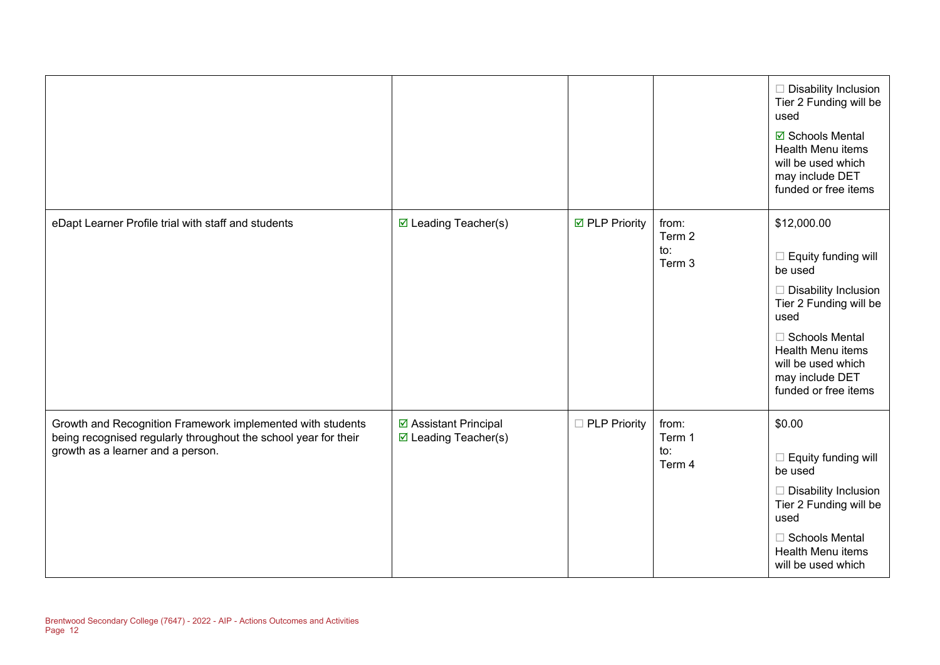|                                                                                                                                                                    |                                                         |                       |                                  | $\Box$ Disability Inclusion<br>Tier 2 Funding will be<br>used<br>☑ Schools Mental<br><b>Health Menu items</b><br>will be used which<br>may include DET<br>funded or free items                                                       |
|--------------------------------------------------------------------------------------------------------------------------------------------------------------------|---------------------------------------------------------|-----------------------|----------------------------------|--------------------------------------------------------------------------------------------------------------------------------------------------------------------------------------------------------------------------------------|
| eDapt Learner Profile trial with staff and students                                                                                                                | $\boxtimes$ Leading Teacher(s)                          | <b>Ø</b> PLP Priority | from:<br>Term 2<br>to:<br>Term 3 | \$12,000.00<br>$\Box$ Equity funding will<br>be used<br>$\Box$ Disability Inclusion<br>Tier 2 Funding will be<br>used<br>$\Box$ Schools Mental<br>Health Menu items<br>will be used which<br>may include DET<br>funded or free items |
| Growth and Recognition Framework implemented with students<br>being recognised regularly throughout the school year for their<br>growth as a learner and a person. | ☑ Assistant Principal<br>$\boxtimes$ Leading Teacher(s) | □ PLP Priority        | from:<br>Term 1<br>to:<br>Term 4 | \$0.00<br>$\Box$ Equity funding will<br>be used<br>$\Box$ Disability Inclusion<br>Tier 2 Funding will be<br>used<br>□ Schools Mental<br>Health Menu items<br>will be used which                                                      |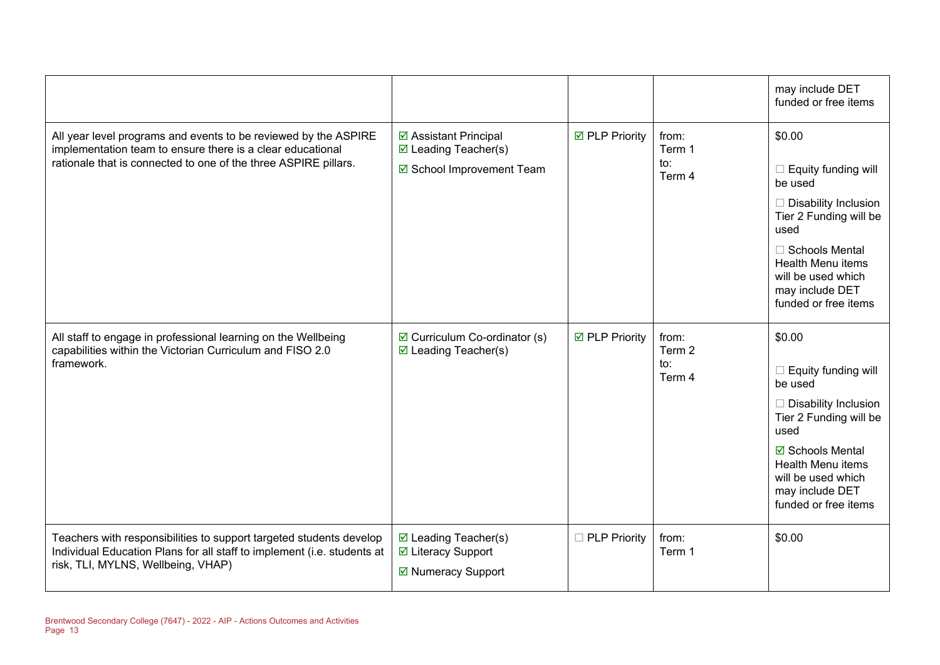|                                                                                                                                                                                                  |                                                                            |                       |                                  | may include DET<br>funded or free items                                                                                                                                                                                           |
|--------------------------------------------------------------------------------------------------------------------------------------------------------------------------------------------------|----------------------------------------------------------------------------|-----------------------|----------------------------------|-----------------------------------------------------------------------------------------------------------------------------------------------------------------------------------------------------------------------------------|
| All year level programs and events to be reviewed by the ASPIRE<br>implementation team to ensure there is a clear educational<br>rationale that is connected to one of the three ASPIRE pillars. | ☑ Assistant Principal<br>☑ Leading Teacher(s)<br>☑ School Improvement Team | <b>Ø</b> PLP Priority | from:<br>Term 1<br>to:<br>Term 4 | \$0.00<br>$\Box$ Equity funding will<br>be used<br>$\Box$ Disability Inclusion<br>Tier 2 Funding will be<br>used<br>$\Box$ Schools Mental<br>Health Menu items<br>will be used which<br>may include DET<br>funded or free items   |
| All staff to engage in professional learning on the Wellbeing<br>capabilities within the Victorian Curriculum and FISO 2.0<br>framework.                                                         | $\boxdot$ Curriculum Co-ordinator (s)<br>$\boxtimes$ Leading Teacher(s)    | <b>☑</b> PLP Priority | from:<br>Term 2<br>to:<br>Term 4 | \$0.00<br>$\Box$ Equity funding will<br>be used<br>$\Box$ Disability Inclusion<br>Tier 2 Funding will be<br>used<br><b>☑</b> Schools Mental<br>Health Menu items<br>will be used which<br>may include DET<br>funded or free items |
| Teachers with responsibilities to support targeted students develop<br>Individual Education Plans for all staff to implement (i.e. students at<br>risk, TLI, MYLNS, Wellbeing, VHAP)             | ☑ Leading Teacher(s)<br>☑ Literacy Support<br>☑ Numeracy Support           | □ PLP Priority        | from:<br>Term 1                  | \$0.00                                                                                                                                                                                                                            |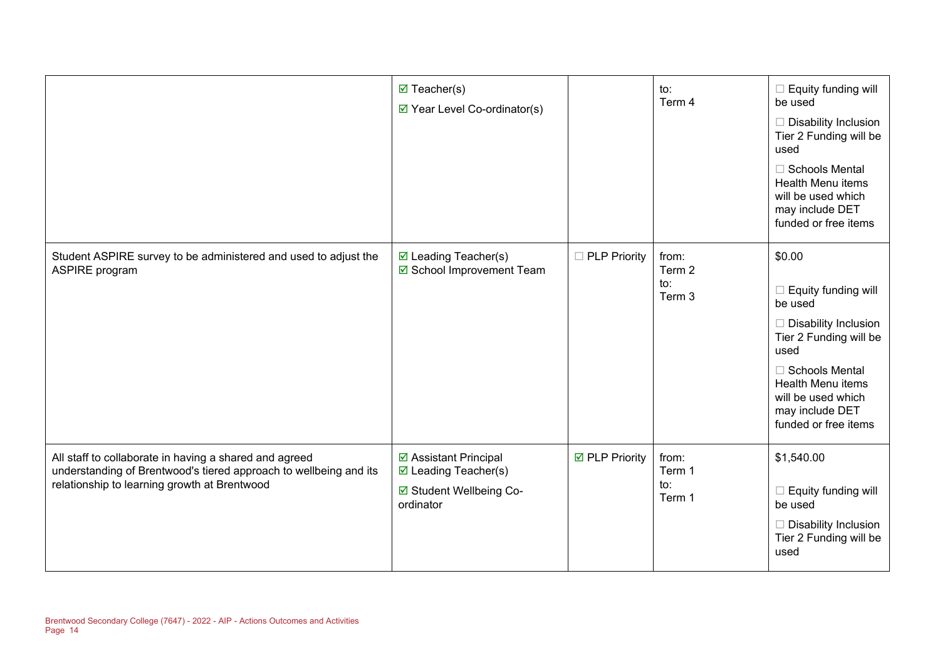|                                                                                                                                                                             | $\boxtimes$ Teacher(s)<br>☑ Year Level Co-ordinator(s)                                          |                       | to:<br>Term 4                    | $\Box$ Equity funding will<br>be used<br>$\Box$ Disability Inclusion<br>Tier 2 Funding will be<br>used<br>□ Schools Mental<br>Health Menu items<br>will be used which<br>may include DET<br>funded or free items                  |
|-----------------------------------------------------------------------------------------------------------------------------------------------------------------------------|-------------------------------------------------------------------------------------------------|-----------------------|----------------------------------|-----------------------------------------------------------------------------------------------------------------------------------------------------------------------------------------------------------------------------------|
| Student ASPIRE survey to be administered and used to adjust the<br><b>ASPIRE</b> program                                                                                    | $\boxtimes$ Leading Teacher(s)<br>☑ School Improvement Team                                     | □ PLP Priority        | from:<br>Term 2<br>to:<br>Term 3 | \$0.00<br>$\Box$ Equity funding will<br>be used<br>$\Box$ Disability Inclusion<br>Tier 2 Funding will be<br>used<br>□ Schools Mental<br><b>Health Menu items</b><br>will be used which<br>may include DET<br>funded or free items |
| All staff to collaborate in having a shared and agreed<br>understanding of Brentwood's tiered approach to wellbeing and its<br>relationship to learning growth at Brentwood | ☑ Assistant Principal<br>$\boxtimes$ Leading Teacher(s)<br>☑ Student Wellbeing Co-<br>ordinator | <b>Ø</b> PLP Priority | from:<br>Term 1<br>to:<br>Term 1 | \$1,540.00<br>$\Box$ Equity funding will<br>be used<br>$\Box$ Disability Inclusion<br>Tier 2 Funding will be<br>used                                                                                                              |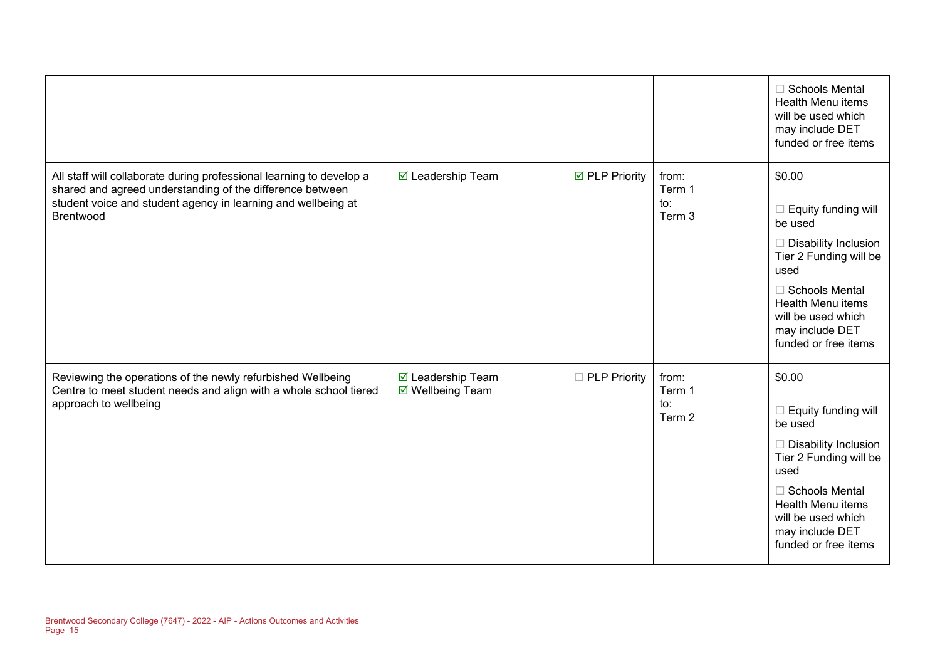|                                                                                                                                                                                                                 |                                       |                     |                                             | <b>Schools Mental</b><br><b>Health Menu items</b><br>will be used which<br>may include DET<br>funded or free items                                                                                                       |
|-----------------------------------------------------------------------------------------------------------------------------------------------------------------------------------------------------------------|---------------------------------------|---------------------|---------------------------------------------|--------------------------------------------------------------------------------------------------------------------------------------------------------------------------------------------------------------------------|
| All staff will collaborate during professional learning to develop a<br>shared and agreed understanding of the difference between<br>student voice and student agency in learning and wellbeing at<br>Brentwood | ☑ Leadership Team                     | ☑ PLP Priority      | from:<br>Term 1<br>$\mathsf{to}:$<br>Term 3 | \$0.00<br>Equity funding will<br>be used<br>Disability Inclusion<br>Tier 2 Funding will be<br>used<br>$\Box$ Schools Mental<br><b>Health Menu items</b><br>will be used which<br>may include DET<br>funded or free items |
| Reviewing the operations of the newly refurbished Wellbeing<br>Centre to meet student needs and align with a whole school tiered<br>approach to wellbeing                                                       | ☑ Leadership Team<br>☑ Wellbeing Team | $\Box$ PLP Priority | from:<br>Term 1<br>to:<br>Term 2            | \$0.00<br>Equity funding will<br>H<br>be used<br>Disability Inclusion<br>Tier 2 Funding will be<br>used<br>$\Box$ Schools Mental<br>Health Menu items<br>will be used which<br>may include DET<br>funded or free items   |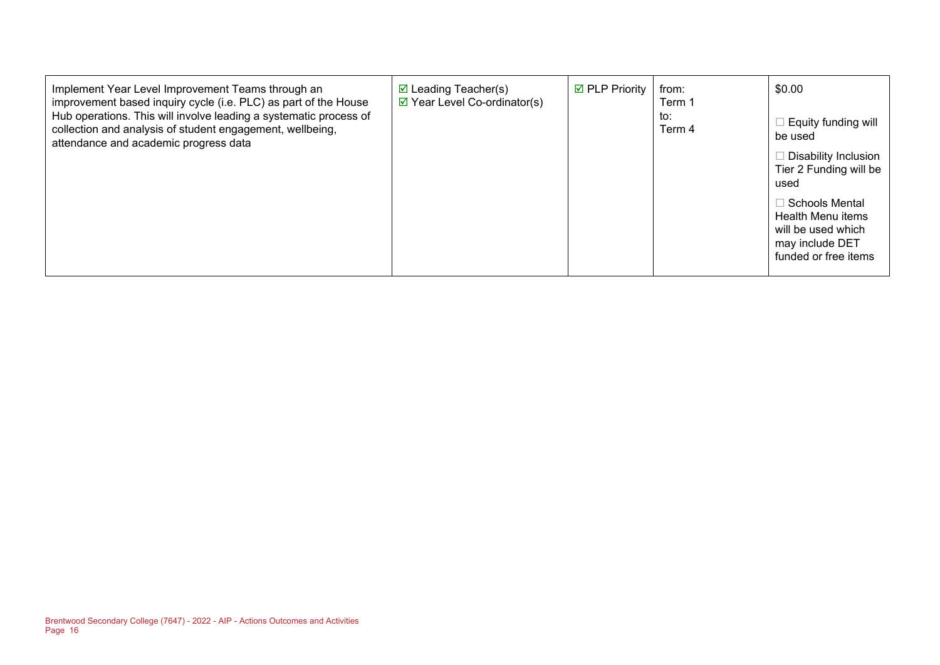| Implement Year Level Improvement Teams through an<br>improvement based inquiry cycle (i.e. PLC) as part of the House<br>Hub operations. This will involve leading a systematic process of<br>collection and analysis of student engagement, wellbeing,<br>attendance and academic progress data | $\boxtimes$ Leading Teacher(s)<br>$\boxtimes$ Year Level Co-ordinator(s) | <b>☑ PLP Priority</b> | from:<br>Term 1<br>to:<br>Term 4 | \$0.00<br>Equity funding will<br>be used<br>Disability Inclusion<br>Tier 2 Funding will be<br>used<br>Schools Mental<br>Health Menu items<br>will be used which<br>may include DET<br>funded or free items |
|-------------------------------------------------------------------------------------------------------------------------------------------------------------------------------------------------------------------------------------------------------------------------------------------------|--------------------------------------------------------------------------|-----------------------|----------------------------------|------------------------------------------------------------------------------------------------------------------------------------------------------------------------------------------------------------|
|-------------------------------------------------------------------------------------------------------------------------------------------------------------------------------------------------------------------------------------------------------------------------------------------------|--------------------------------------------------------------------------|-----------------------|----------------------------------|------------------------------------------------------------------------------------------------------------------------------------------------------------------------------------------------------------|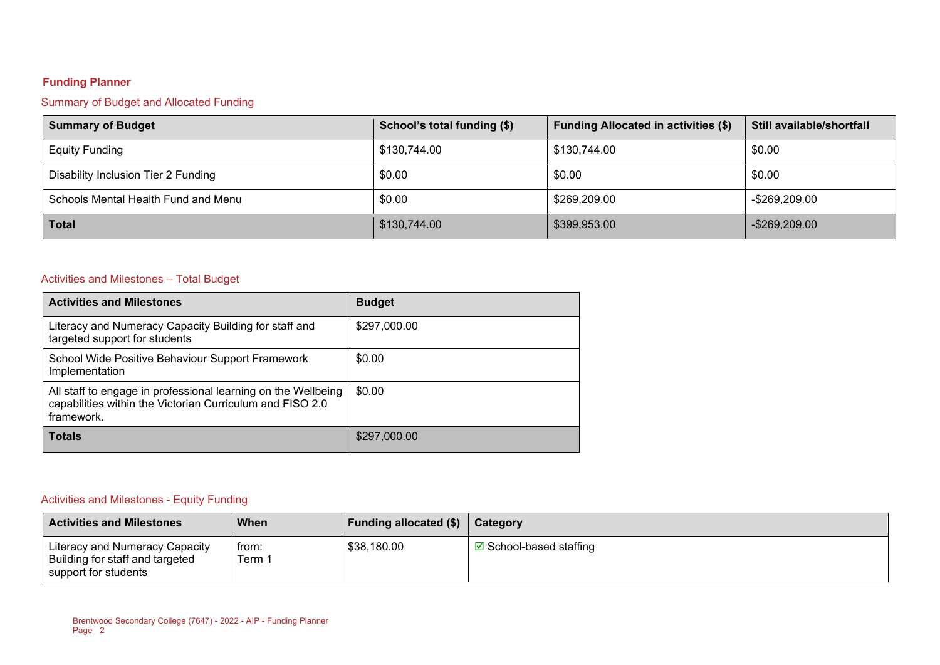# **Funding Planner**

# Summary of Budget and Allocated Funding

| <b>Summary of Budget</b>            | School's total funding (\$) | <b>Funding Allocated in activities (\$)</b> | Still available/shortfall |
|-------------------------------------|-----------------------------|---------------------------------------------|---------------------------|
| <b>Equity Funding</b>               | \$130,744.00                | \$130,744.00                                | \$0.00                    |
| Disability Inclusion Tier 2 Funding | \$0.00                      | \$0.00                                      | \$0.00                    |
| Schools Mental Health Fund and Menu | \$0.00                      | \$269,209.00                                | -\$269,209.00             |
| <b>Total</b>                        | \$130,744.00                | \$399,953.00                                | $-$ \$269,209.00          |

# Activities and Milestones – Total Budget

| <b>Activities and Milestones</b>                                                                                                         | <b>Budget</b> |
|------------------------------------------------------------------------------------------------------------------------------------------|---------------|
| Literacy and Numeracy Capacity Building for staff and<br>targeted support for students                                                   | \$297,000.00  |
| School Wide Positive Behaviour Support Framework<br>Implementation                                                                       | \$0.00        |
| All staff to engage in professional learning on the Wellbeing<br>capabilities within the Victorian Curriculum and FISO 2.0<br>framework. | \$0.00        |
| <b>Totals</b>                                                                                                                            | \$297,000.00  |

### Activities and Milestones - Equity Funding

| <b>Activities and Milestones</b>                                                          | When           | <b>Funding allocated (\$)</b> | Category                       |
|-------------------------------------------------------------------------------------------|----------------|-------------------------------|--------------------------------|
| Literacy and Numeracy Capacity<br>Building for staff and targeted<br>support for students | trom:<br>Term. | \$38,180.00                   | <b>⊠</b> School-based staffing |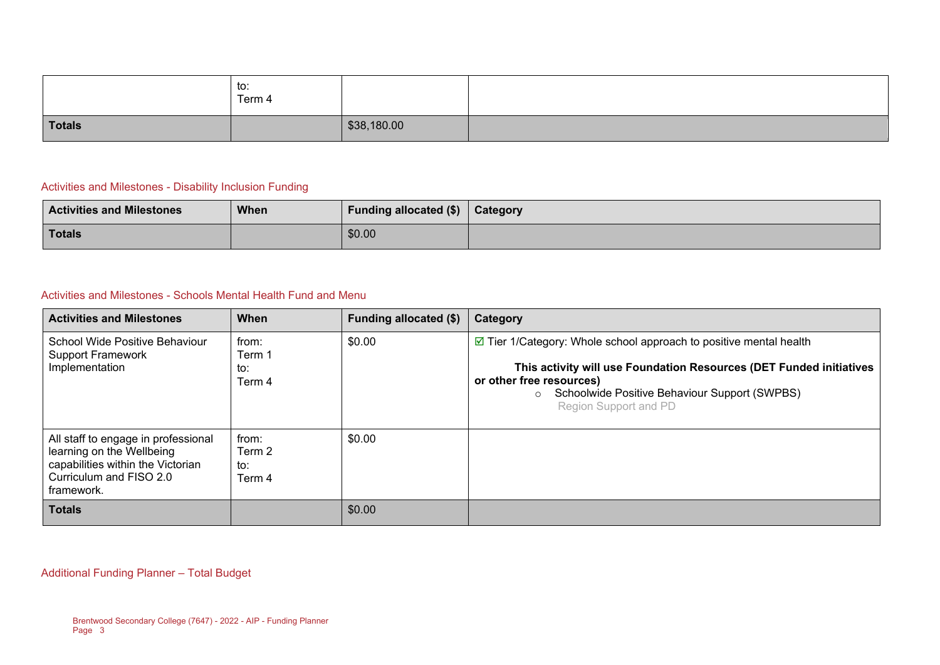|               | to:<br>Term 4 |             |  |
|---------------|---------------|-------------|--|
| <b>Totals</b> |               | \$38,180.00 |  |

### Activities and Milestones - Disability Inclusion Funding

| <b>Activities and Milestones</b> | <b>When</b> | <b>Funding allocated (\$)</b> | <b>Category</b> |
|----------------------------------|-------------|-------------------------------|-----------------|
| <b>Totals</b>                    |             | \$0.00                        |                 |

### Activities and Milestones - Schools Mental Health Fund and Menu

| <b>Activities and Milestones</b>                                                                                                               | When                             | Funding allocated (\$) | Category                                                                                                                                                                                                                                                                  |
|------------------------------------------------------------------------------------------------------------------------------------------------|----------------------------------|------------------------|---------------------------------------------------------------------------------------------------------------------------------------------------------------------------------------------------------------------------------------------------------------------------|
| School Wide Positive Behaviour<br><b>Support Framework</b><br>Implementation                                                                   | from:<br>Term 1<br>to:<br>Term 4 | \$0.00                 | $\triangleright$ Tier 1/Category: Whole school approach to positive mental health<br>This activity will use Foundation Resources (DET Funded initiatives<br>or other free resources)<br>Schoolwide Positive Behaviour Support (SWPBS)<br>$\circ$<br>Region Support and PD |
| All staff to engage in professional<br>learning on the Wellbeing<br>capabilities within the Victorian<br>Curriculum and FISO 2.0<br>framework. | from:<br>Term 2<br>to:<br>Term 4 | \$0.00                 |                                                                                                                                                                                                                                                                           |
| <b>Totals</b>                                                                                                                                  |                                  | \$0.00                 |                                                                                                                                                                                                                                                                           |

Additional Funding Planner – Total Budget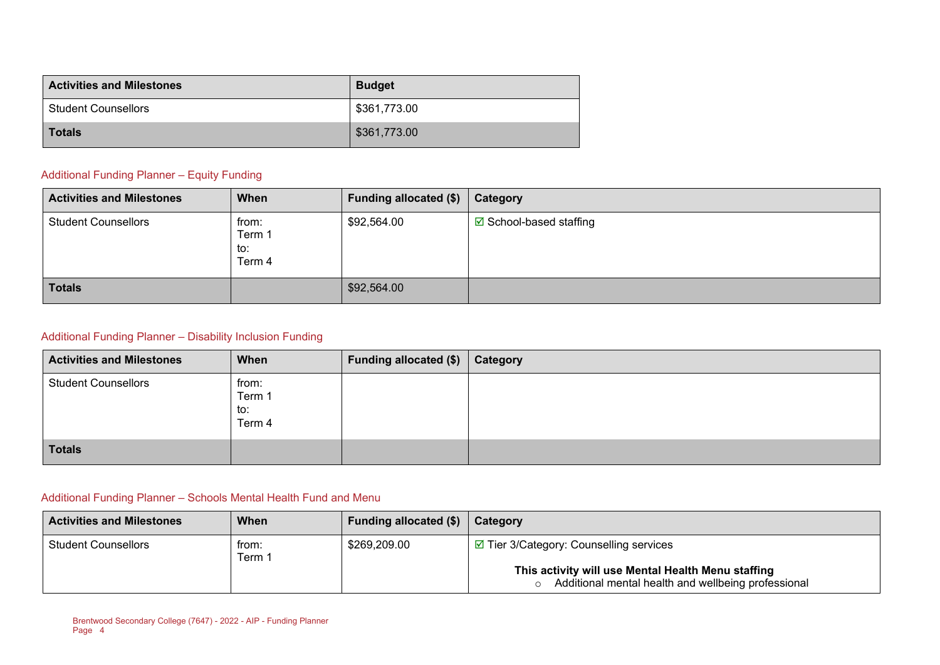| <b>Activities and Milestones</b> | <b>Budget</b> |
|----------------------------------|---------------|
| <b>Student Counsellors</b>       | \$361,773.00  |
| <b>Totals</b>                    | \$361,773.00  |

### Additional Funding Planner – Equity Funding

| <b>Activities and Milestones</b> | When                             | Funding allocated (\$) | Category                       |
|----------------------------------|----------------------------------|------------------------|--------------------------------|
| <b>Student Counsellors</b>       | from:<br>Term 1<br>to:<br>Term 4 | \$92,564.00            | <b>☑</b> School-based staffing |
| <b>Totals</b>                    |                                  | \$92,564.00            |                                |

### Additional Funding Planner – Disability Inclusion Funding

| <b>Activities and Milestones</b> | When                             | Funding allocated (\$) | Category |
|----------------------------------|----------------------------------|------------------------|----------|
| <b>Student Counsellors</b>       | from:<br>Term 1<br>to:<br>Term 4 |                        |          |
| <b>Totals</b>                    |                                  |                        |          |

### Additional Funding Planner – Schools Mental Health Fund and Menu

| <b>Activities and Milestones</b> | When            | <b>Funding allocated (\$)</b> | Category                                                                                                              |
|----------------------------------|-----------------|-------------------------------|-----------------------------------------------------------------------------------------------------------------------|
| <b>Student Counsellors</b>       | from:<br>Term 1 | \$269,209.00                  | $\Box$ Tier 3/Category: Counselling services                                                                          |
|                                  |                 |                               | This activity will use Mental Health Menu staffing<br>Additional mental health and wellbeing professional<br>$\Omega$ |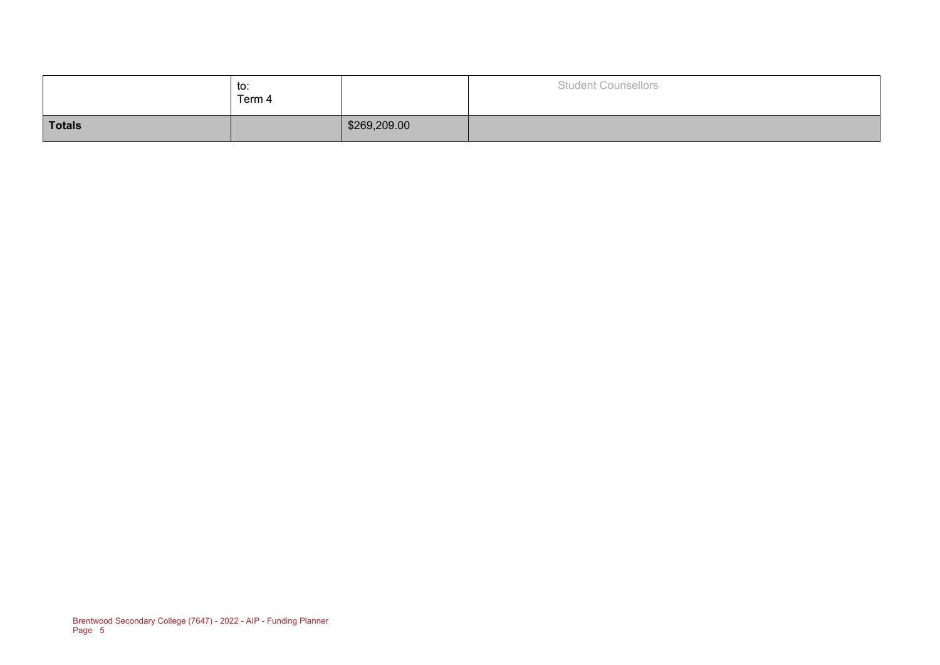|               | to:<br>Term 4 |              | <b>Student Counsellors</b> |
|---------------|---------------|--------------|----------------------------|
| <b>Totals</b> |               | \$269,209.00 |                            |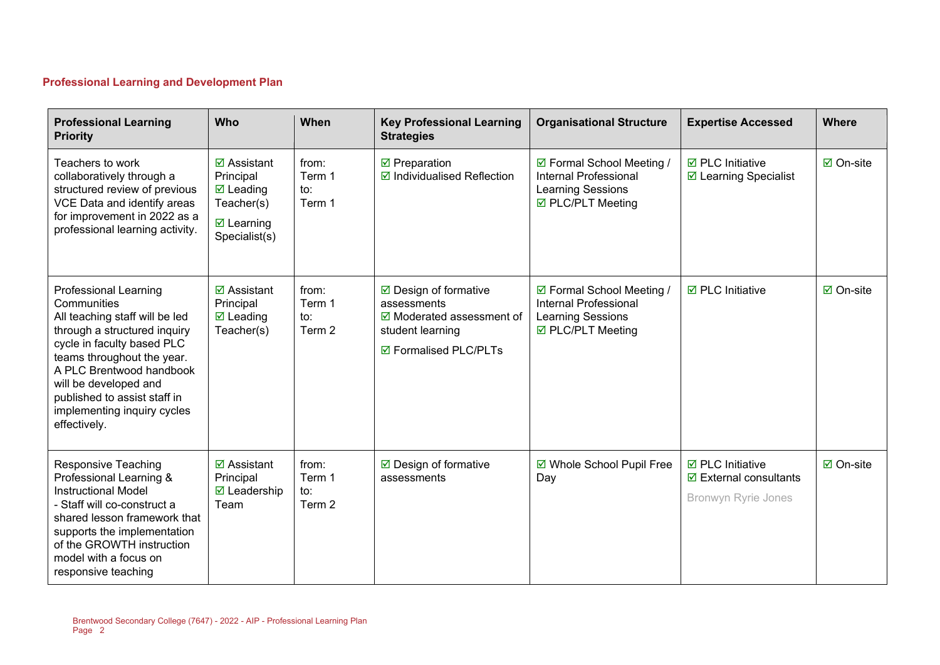# **Professional Learning and Development Plan**

| <b>Professional Learning</b><br><b>Priority</b>                                                                                                                                                                                                                                                               | Who                                                                                                            | When                             | <b>Key Professional Learning</b><br><b>Strategies</b>                                                                            | <b>Organisational Structure</b>                                                                     | <b>Expertise Accessed</b>                                                                | <b>Where</b>      |
|---------------------------------------------------------------------------------------------------------------------------------------------------------------------------------------------------------------------------------------------------------------------------------------------------------------|----------------------------------------------------------------------------------------------------------------|----------------------------------|----------------------------------------------------------------------------------------------------------------------------------|-----------------------------------------------------------------------------------------------------|------------------------------------------------------------------------------------------|-------------------|
| Teachers to work<br>collaboratively through a<br>structured review of previous<br>VCE Data and identify areas<br>for improvement in 2022 as a<br>professional learning activity.                                                                                                                              | $\boxdot$ Assistant<br>Principal<br>$\boxtimes$ Leading<br>Teacher(s)<br>$\boxtimes$ Learning<br>Specialist(s) | from:<br>Term 1<br>to:<br>Term 1 | $\boxdot$ Preparation<br>$\boxdot$ Individualised Reflection                                                                     | ☑ Formal School Meeting /<br>Internal Professional<br>Learning Sessions<br>☑ PLC/PLT Meeting        | $\boxdot$ PLC Initiative<br>☑ Learning Specialist                                        | $\boxdot$ On-site |
| <b>Professional Learning</b><br>Communities<br>All teaching staff will be led<br>through a structured inquiry<br>cycle in faculty based PLC<br>teams throughout the year.<br>A PLC Brentwood handbook<br>will be developed and<br>published to assist staff in<br>implementing inquiry cycles<br>effectively. | $\boxtimes$ Assistant<br>Principal<br>$\boxtimes$ Leading<br>Teacher(s)                                        | from:<br>Term 1<br>to:<br>Term 2 | $\boxdot$ Design of formative<br>assessments<br>$\boxtimes$ Moderated assessment of<br>student learning<br>☑ Formalised PLC/PLTs | ☑ Formal School Meeting /<br><b>Internal Professional</b><br>Learning Sessions<br>☑ PLC/PLT Meeting | $\boxdot$ PLC Initiative                                                                 | $\boxdot$ On-site |
| Responsive Teaching<br>Professional Learning &<br><b>Instructional Model</b><br>- Staff will co-construct a<br>shared lesson framework that<br>supports the implementation<br>of the GROWTH instruction<br>model with a focus on<br>responsive teaching                                                       | $\overline{\mathbf{z}}$ Assistant<br>Principal<br><b>Ø</b> Leadership<br>Team                                  | from:<br>Term 1<br>to:<br>Term 2 | ☑ Design of formative<br>assessments                                                                                             | ☑ Whole School Pupil Free<br>Day                                                                    | $\boxdot$ PLC Initiative<br>$\boxdot$ External consultants<br><b>Bronwyn Ryrie Jones</b> | ☑ On-site         |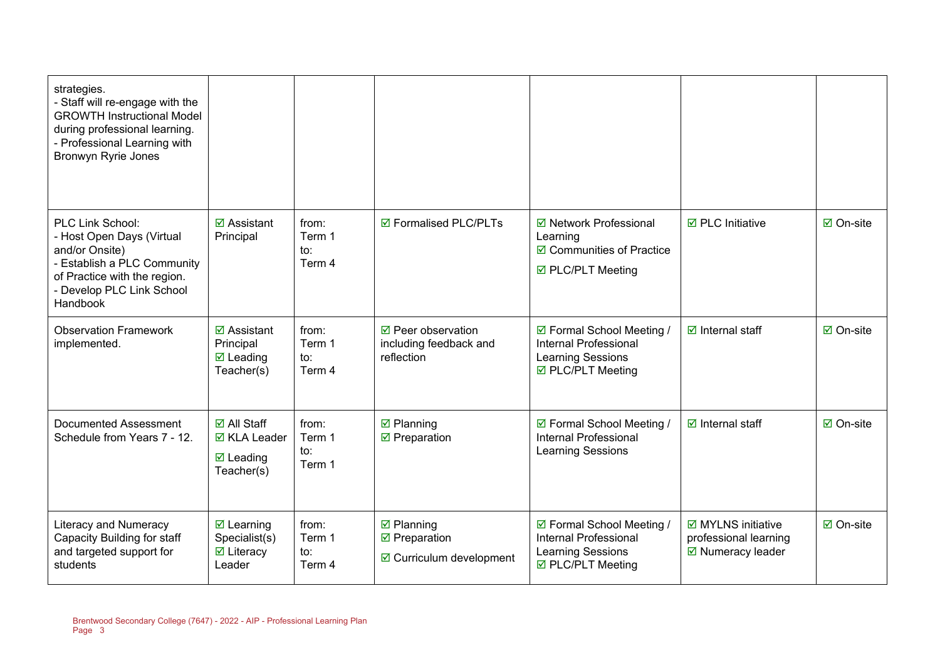| strategies.<br>- Staff will re-engage with the<br><b>GROWTH Instructional Model</b><br>during professional learning.<br>- Professional Learning with<br><b>Bronwyn Ryrie Jones</b>    |                                                                                   |                                  |                                                                                   |                                                                                                     |                                                                                  |                  |
|---------------------------------------------------------------------------------------------------------------------------------------------------------------------------------------|-----------------------------------------------------------------------------------|----------------------------------|-----------------------------------------------------------------------------------|-----------------------------------------------------------------------------------------------------|----------------------------------------------------------------------------------|------------------|
| <b>PLC Link School:</b><br>- Host Open Days (Virtual<br>and/or Onsite)<br>- Establish a PLC Community<br>of Practice with the region.<br>- Develop PLC Link School<br><b>Handbook</b> | $\boxtimes$ Assistant<br>Principal                                                | from:<br>Term 1<br>to:<br>Term 4 | ☑ Formalised PLC/PLTs                                                             | ☑ Network Professional<br>Learning<br>☑ Communities of Practice<br>☑ PLC/PLT Meeting                | $\boxdot$ PLC Initiative                                                         | <b>☑</b> On-site |
| <b>Observation Framework</b><br>implemented.                                                                                                                                          | $\boxtimes$ Assistant<br>Principal<br>$\boxtimes$ Leading<br>Teacher(s)           | from:<br>Term 1<br>to:<br>Term 4 | ☑ Peer observation<br>including feedback and<br>reflection                        | ☑ Formal School Meeting /<br><b>Internal Professional</b><br>Learning Sessions<br>☑ PLC/PLT Meeting | $\boxdot$ Internal staff                                                         | ☑ On-site        |
| Documented Assessment<br>Schedule from Years 7 - 12.                                                                                                                                  | <b>☑</b> All Staff<br>$\boxtimes$ KLA Leader<br>$\boxtimes$ Leading<br>Teacher(s) | from:<br>Term 1<br>to:<br>Term 1 | $\boxtimes$ Planning<br>$\boxdot$ Preparation                                     | ☑ Formal School Meeting /<br><b>Internal Professional</b><br><b>Learning Sessions</b>               | $\boxdot$ Internal staff                                                         | <b>☑</b> On-site |
| <b>Literacy and Numeracy</b><br>Capacity Building for staff<br>and targeted support for<br>students                                                                                   | $\boxtimes$ Learning<br>Specialist(s)<br>$\boxtimes$ Literacy<br>Leader           | from:<br>Term 1<br>to:<br>Term 4 | $\boxtimes$ Planning<br>$\boxdot$ Preparation<br>$\boxdot$ Curriculum development | ☑ Formal School Meeting /<br>Internal Professional<br>Learning Sessions<br>☑ PLC/PLT Meeting        | $\boxdot$ MYLNS initiative<br>professional learning<br>$\boxdot$ Numeracy leader | ☑ On-site        |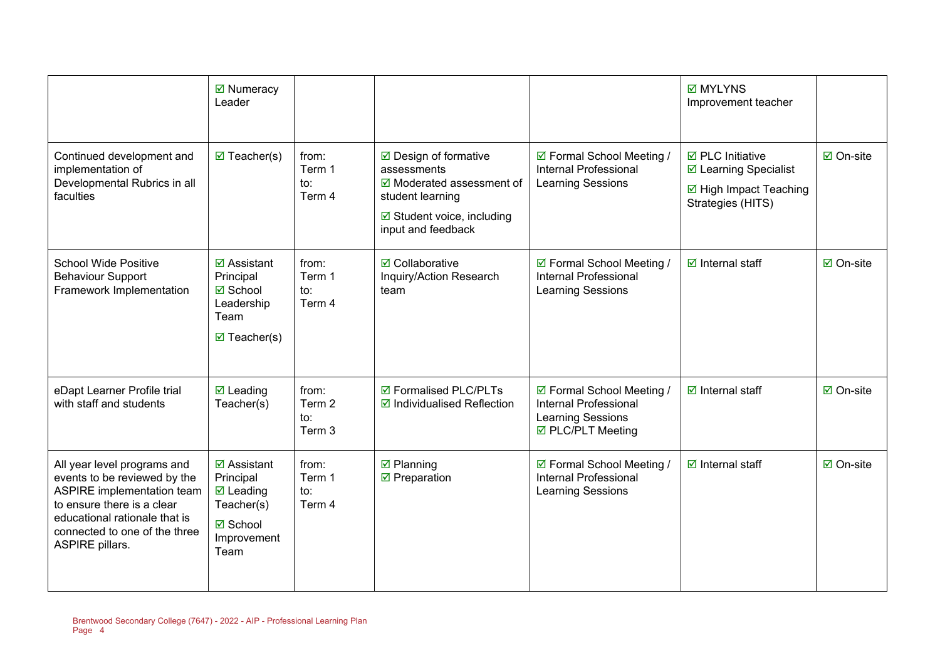|                                                                                                                                                                                                                     | ☑ Numeracy<br>Leader                                                                                              |                                  |                                                                                                                                                           |                                                                                              | <b>☑ MYLYNS</b><br>Improvement teacher                                                                        |                     |
|---------------------------------------------------------------------------------------------------------------------------------------------------------------------------------------------------------------------|-------------------------------------------------------------------------------------------------------------------|----------------------------------|-----------------------------------------------------------------------------------------------------------------------------------------------------------|----------------------------------------------------------------------------------------------|---------------------------------------------------------------------------------------------------------------|---------------------|
| Continued development and<br>implementation of<br>Developmental Rubrics in all<br>faculties                                                                                                                         | $\boxtimes$ Teacher(s)                                                                                            | from:<br>Term 1<br>to:<br>Term 4 | ☑ Design of formative<br>assessments<br>$\boxdot$ Moderated assessment of<br>student learning<br>$\boxdot$ Student voice, including<br>input and feedback | ☑ Formal School Meeting /<br><b>Internal Professional</b><br>Learning Sessions               | $\overline{\boxtimes}$ PLC Initiative<br>☑ Learning Specialist<br>☑ High Impact Teaching<br>Strategies (HITS) | $\boxtimes$ On-site |
| <b>School Wide Positive</b><br><b>Behaviour Support</b><br>Framework Implementation                                                                                                                                 | $\overline{\mathbf{z}}$ Assistant<br>Principal<br><b>Ø</b> School<br>Leadership<br>Team<br>$\boxtimes$ Teacher(s) | from:<br>Term 1<br>to:<br>Term 4 | <b>☑</b> Collaborative<br>Inquiry/Action Research<br>team                                                                                                 | ☑ Formal School Meeting /<br><b>Internal Professional</b><br>Learning Sessions               | $\boxdot$ Internal staff                                                                                      | $\boxdot$ On-site   |
| eDapt Learner Profile trial<br>with staff and students                                                                                                                                                              | $\boxdot$ Leading<br>Teacher(s)                                                                                   | from:<br>Term 2<br>to:<br>Term 3 | ☑ Formalised PLC/PLTs<br>$\boxdot$ Individualised Reflection                                                                                              | ☑ Formal School Meeting /<br>Internal Professional<br>Learning Sessions<br>☑ PLC/PLT Meeting | $\boxtimes$ Internal staff                                                                                    | $\boxdot$ On-site   |
| All year level programs and<br>events to be reviewed by the<br><b>ASPIRE</b> implementation team<br>to ensure there is a clear<br>educational rationale that is<br>connected to one of the three<br>ASPIRE pillars. | $\boxtimes$ Assistant<br>Principal<br>$\boxtimes$ Leading<br>Teacher(s)<br><b>☑</b> School<br>Improvement<br>Team | from:<br>Term 1<br>to:<br>Term 4 | $\boxtimes$ Planning<br>$\boxdot$ Preparation                                                                                                             | ☑ Formal School Meeting /<br><b>Internal Professional</b><br><b>Learning Sessions</b>        | $\boxdot$ Internal staff                                                                                      | $\boxdot$ On-site   |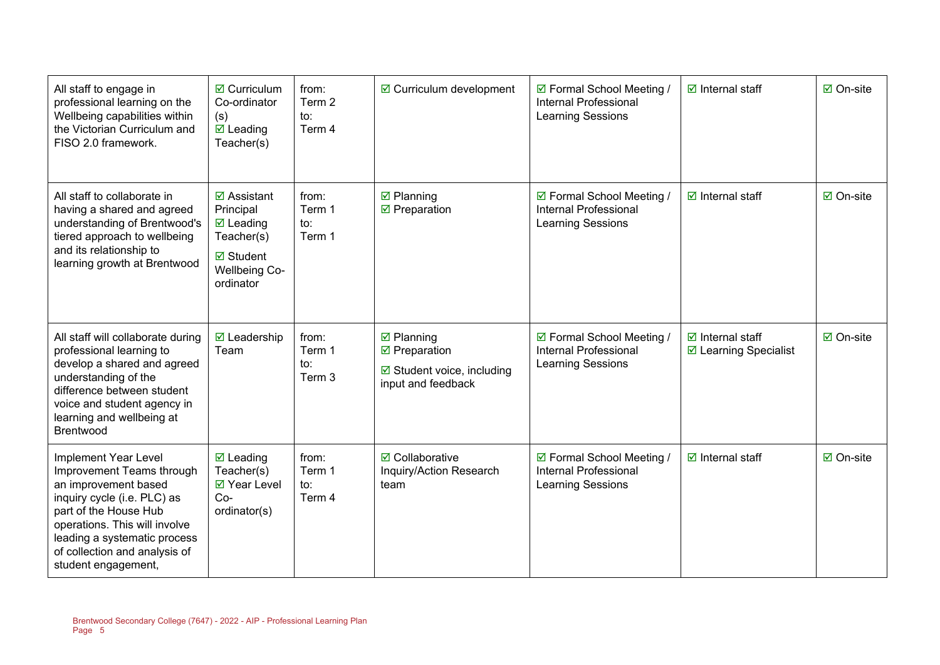| All staff to engage in<br>professional learning on the<br>Wellbeing capabilities within<br>the Victorian Curriculum and<br>FISO 2.0 framework.                                                                                                                    | $\boxtimes$ Curriculum<br>Co-ordinator<br>(s)<br>$\boxtimes$ Leading<br>Teacher(s)                                               | from:<br>Term 2<br>to:<br>Term 4 | $\boxdot$ Curriculum development                                                                          | ☑ Formal School Meeting /<br><b>Internal Professional</b><br><b>Learning Sessions</b> | $\boxdot$ Internal staff                            | ☑ On-site        |
|-------------------------------------------------------------------------------------------------------------------------------------------------------------------------------------------------------------------------------------------------------------------|----------------------------------------------------------------------------------------------------------------------------------|----------------------------------|-----------------------------------------------------------------------------------------------------------|---------------------------------------------------------------------------------------|-----------------------------------------------------|------------------|
| All staff to collaborate in<br>having a shared and agreed<br>understanding of Brentwood's<br>tiered approach to wellbeing<br>and its relationship to<br>learning growth at Brentwood                                                                              | $\boxtimes$ Assistant<br>Principal<br>$\boxtimes$ Leading<br>Teacher(s)<br><b>Ø</b> Student<br><b>Wellbeing Co-</b><br>ordinator | from:<br>Term 1<br>to:<br>Term 1 | $\boxtimes$ Planning<br>$\boxdot$ Preparation                                                             | ☑ Formal School Meeting /<br><b>Internal Professional</b><br>Learning Sessions        | $\boxdot$ Internal staff                            | ☑ On-site        |
| All staff will collaborate during<br>professional learning to<br>develop a shared and agreed<br>understanding of the<br>difference between student<br>voice and student agency in<br>learning and wellbeing at<br><b>Brentwood</b>                                | $\boxtimes$ Leadership<br>Team                                                                                                   | from:<br>Term 1<br>to:<br>Term 3 | $\boxtimes$ Planning<br>$\boxdot$ Preparation<br>$\boxdot$ Student voice, including<br>input and feedback | ☑ Formal School Meeting /<br><b>Internal Professional</b><br><b>Learning Sessions</b> | $\boxtimes$ Internal staff<br>☑ Learning Specialist | <b>Ø</b> On-site |
| <b>Implement Year Level</b><br>Improvement Teams through<br>an improvement based<br>inquiry cycle (i.e. PLC) as<br>part of the House Hub<br>operations. This will involve<br>leading a systematic process<br>of collection and analysis of<br>student engagement, | $\boxtimes$ Leading<br>Teacher(s)<br>☑ Year Level<br>$Co-$<br>ordinator(s)                                                       | from:<br>Term 1<br>to:<br>Term 4 | <b>☑</b> Collaborative<br>Inquiry/Action Research<br>team                                                 | ☑ Formal School Meeting /<br><b>Internal Professional</b><br>Learning Sessions        | $\boxdot$ Internal staff                            | ☑ On-site        |